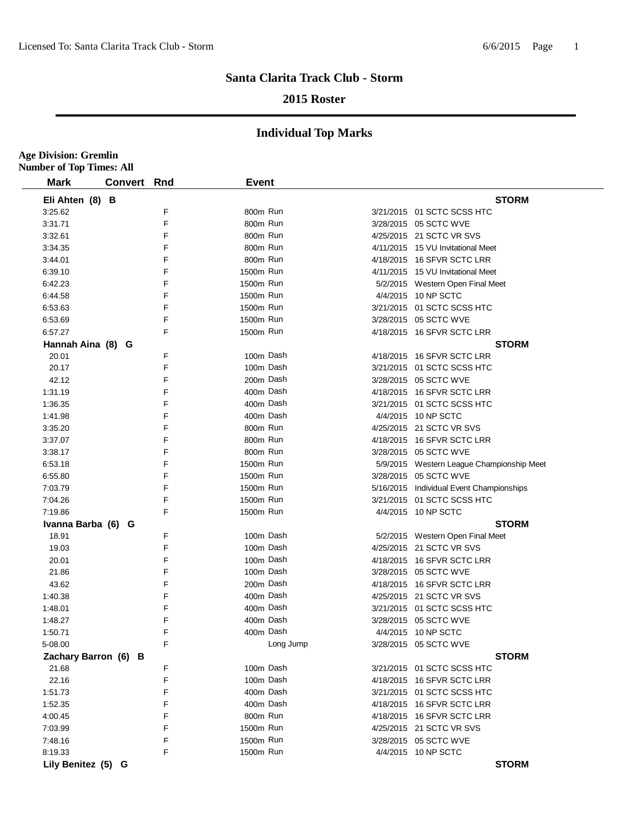**Age Division: Gremlin**

### **Santa Clarita Track Club - Storm**

#### **2015 Roster**

| <b>Mark</b>          | <b>Convert Rnd</b> |   | <b>Event</b> |           |                                           |
|----------------------|--------------------|---|--------------|-----------|-------------------------------------------|
| Eli Ahten (8) B      |                    |   |              |           | <b>STORM</b>                              |
| 3:25.62              |                    | F | 800m Run     |           | 3/21/2015  01 SCTC SCSS HTC               |
| 3:31.71              |                    | F | 800m Run     |           | 3/28/2015 05 SCTC WVE                     |
| 3:32.61              |                    | F | 800m Run     |           | 4/25/2015 21 SCTC VR SVS                  |
| 3:34.35              |                    | F | 800m Run     |           | 4/11/2015 15 VU Invitational Meet         |
| 3:44.01              |                    | F | 800m Run     |           | 4/18/2015 16 SFVR SCTC LRR                |
| 6:39.10              |                    | F | 1500m Run    |           | 4/11/2015 15 VU Invitational Meet         |
| 6:42.23              |                    | F | 1500m Run    |           | 5/2/2015 Western Open Final Meet          |
| 6:44.58              |                    | F | 1500m Run    |           | 4/4/2015 10 NP SCTC                       |
| 6:53.63              |                    | F | 1500m Run    |           | 3/21/2015  01 SCTC SCSS HTC               |
| 6:53.69              |                    | F | 1500m Run    |           | 3/28/2015 05 SCTC WVE                     |
| 6:57.27              |                    | F | 1500m Run    |           | 4/18/2015 16 SFVR SCTC LRR                |
| Hannah Aina (8) G    |                    |   |              |           | <b>STORM</b>                              |
| 20.01                |                    | F | 100m Dash    |           | 4/18/2015 16 SFVR SCTC LRR                |
| 20.17                |                    | F | 100m Dash    |           | 3/21/2015 01 SCTC SCSS HTC                |
| 42.12                |                    | F | 200m Dash    |           | 3/28/2015 05 SCTC WVE                     |
| 1:31.19              |                    | F | 400m Dash    |           | 4/18/2015 16 SFVR SCTC LRR                |
| 1:36.35              |                    | F | 400m Dash    |           | 3/21/2015  01 SCTC SCSS HTC               |
| 1:41.98              |                    | F | 400m Dash    |           | 4/4/2015 10 NP SCTC                       |
| 3:35.20              |                    | F | 800m Run     |           | 4/25/2015 21 SCTC VR SVS                  |
| 3:37.07              |                    | F | 800m Run     |           | 4/18/2015 16 SFVR SCTC LRR                |
| 3:38.17              |                    | F | 800m Run     |           | 3/28/2015 05 SCTC WVE                     |
| 6:53.18              |                    | F | 1500m Run    |           | 5/9/2015 Western League Championship Meet |
| 6:55.80              |                    | F | 1500m Run    |           | 3/28/2015 05 SCTC WVE                     |
| 7:03.79              |                    | F | 1500m Run    |           | 5/16/2015 Individual Event Championships  |
| 7:04.26              |                    | F | 1500m Run    |           | 3/21/2015 01 SCTC SCSS HTC                |
| 7:19.86              |                    | F | 1500m Run    |           | 4/4/2015 10 NP SCTC                       |
| Ivanna Barba (6) G   |                    |   |              |           | <b>STORM</b>                              |
| 18.91                |                    | F | 100m Dash    |           | 5/2/2015 Western Open Final Meet          |
| 19.03                |                    | F | 100m Dash    |           | 4/25/2015 21 SCTC VR SVS                  |
| 20.01                |                    | F | 100m Dash    |           | 4/18/2015 16 SFVR SCTC LRR                |
| 21.86                |                    | F | 100m Dash    |           | 3/28/2015 05 SCTC WVE                     |
| 43.62                |                    | F | 200m Dash    |           | 4/18/2015 16 SFVR SCTC LRR                |
| 1:40.38              |                    | F | 400m Dash    |           | 4/25/2015 21 SCTC VR SVS                  |
| 1:48.01              |                    | F | 400m Dash    |           | 3/21/2015  01 SCTC SCSS HTC               |
| 1:48.27              |                    | F | 400m Dash    |           | 3/28/2015 05 SCTC WVE                     |
| 1:50.71              |                    | F | 400m Dash    |           | 4/4/2015 10 NP SCTC                       |
| 5-08.00              |                    | F |              | Long Jump | 3/28/2015 05 SCTC WVE                     |
| Zachary Barron (6) B |                    |   |              |           | <b>STORM</b>                              |
| 21.68                |                    | F | 100m Dash    |           | 3/21/2015 01 SCTC SCSS HTC                |
| 22.16                |                    | F | 100m Dash    |           | 4/18/2015 16 SFVR SCTC LRR                |
| 1:51.73              |                    | F | 400m Dash    |           | 3/21/2015 01 SCTC SCSS HTC                |
| 1:52.35              |                    | F | 400m Dash    |           | 4/18/2015 16 SFVR SCTC LRR                |
| 4:00.45              |                    | F | 800m Run     |           | 4/18/2015 16 SFVR SCTC LRR                |
| 7:03.99              |                    | F | 1500m Run    |           | 4/25/2015 21 SCTC VR SVS                  |
| 7:48.16              |                    | F | 1500m Run    |           | 3/28/2015 05 SCTC WVE                     |
| 8:19.33              |                    | F | 1500m Run    |           | 4/4/2015 10 NP SCTC                       |
|                      |                    |   |              |           | <b>STORM</b>                              |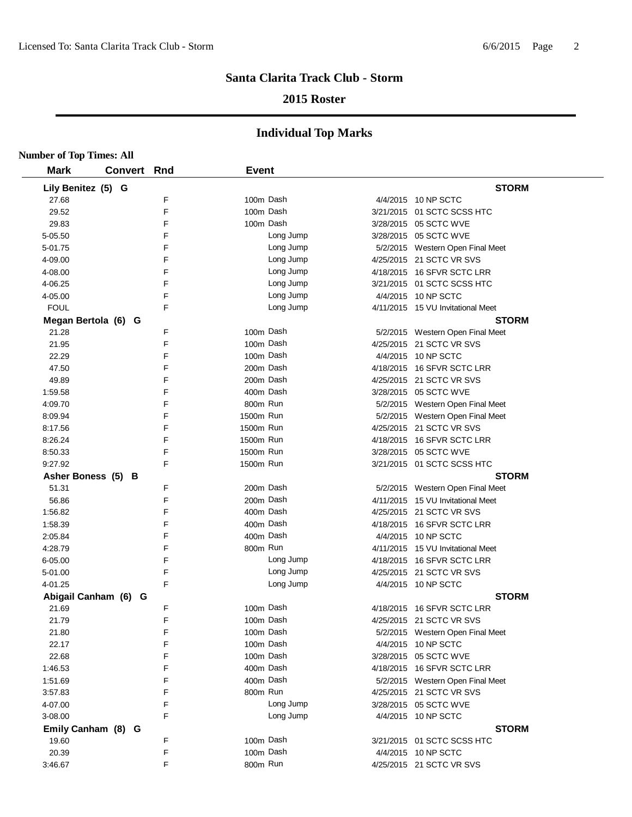## **2015 Roster**

| <b>Number of Top Times: All</b> |                    |   |              |           |                                   |
|---------------------------------|--------------------|---|--------------|-----------|-----------------------------------|
| <b>Mark</b>                     | <b>Convert Rnd</b> |   | <b>Event</b> |           |                                   |
| Lily Benitez (5) G              |                    |   |              |           | <b>STORM</b>                      |
| 27.68                           |                    | F |              | 100m Dash | 4/4/2015 10 NP SCTC               |
| 29.52                           |                    | F |              | 100m Dash | 3/21/2015 01 SCTC SCSS HTC        |
| 29.83                           |                    | F |              | 100m Dash | 3/28/2015 05 SCTC WVE             |
| 5-05.50                         |                    | F |              | Long Jump | 3/28/2015 05 SCTC WVE             |
| 5-01.75                         |                    | F |              | Long Jump | 5/2/2015 Western Open Final Meet  |
| 4-09.00                         |                    | F |              | Long Jump | 4/25/2015 21 SCTC VR SVS          |
| 4-08.00                         |                    | F |              | Long Jump | 4/18/2015 16 SFVR SCTC LRR        |
| 4-06.25                         |                    | F |              | Long Jump | 3/21/2015 01 SCTC SCSS HTC        |
| 4-05.00                         |                    | F |              | Long Jump | 4/4/2015 10 NP SCTC               |
| <b>FOUL</b>                     |                    | F |              | Long Jump | 4/11/2015 15 VU Invitational Meet |
| Megan Bertola (6) G             |                    |   |              |           | <b>STORM</b>                      |
| 21.28                           |                    | F |              | 100m Dash | 5/2/2015 Western Open Final Meet  |
| 21.95                           |                    | F |              | 100m Dash | 4/25/2015 21 SCTC VR SVS          |
| 22.29                           |                    | F |              | 100m Dash | 4/4/2015 10 NP SCTC               |
| 47.50                           |                    | F |              | 200m Dash | 4/18/2015 16 SFVR SCTC LRR        |
| 49.89                           |                    | F |              | 200m Dash | 4/25/2015 21 SCTC VR SVS          |
| 1:59.58                         |                    | F |              | 400m Dash | 3/28/2015 05 SCTC WVE             |
| 4:09.70                         |                    | F | 800m Run     |           | 5/2/2015 Western Open Final Meet  |
| 8:09.94                         |                    | F | 1500m Run    |           | 5/2/2015 Western Open Final Meet  |
| 8:17.56                         |                    | F | 1500m Run    |           | 4/25/2015 21 SCTC VR SVS          |
| 8:26.24                         |                    | F | 1500m Run    |           | 4/18/2015 16 SFVR SCTC LRR        |
| 8:50.33                         |                    | F | 1500m Run    |           | 3/28/2015 05 SCTC WVE             |
| 9:27.92                         |                    | F | 1500m Run    |           | 3/21/2015 01 SCTC SCSS HTC        |
| Asher Boness (5) B              |                    |   |              |           | <b>STORM</b>                      |
| 51.31                           |                    | F |              | 200m Dash | 5/2/2015 Western Open Final Meet  |
| 56.86                           |                    | F |              | 200m Dash | 4/11/2015 15 VU Invitational Meet |
| 1:56.82                         |                    | F |              | 400m Dash | 4/25/2015 21 SCTC VR SVS          |
| 1:58.39                         |                    | F |              | 400m Dash | 4/18/2015 16 SFVR SCTC LRR        |
| 2:05.84                         |                    | F |              | 400m Dash | 4/4/2015 10 NP SCTC               |
| 4:28.79                         |                    | F | 800m Run     |           | 4/11/2015 15 VU Invitational Meet |
| 6-05.00                         |                    | F |              | Long Jump | 4/18/2015 16 SFVR SCTC LRR        |
| 5-01.00                         |                    | F |              | Long Jump | 4/25/2015 21 SCTC VR SVS          |
| 4-01.25                         |                    | F |              | Long Jump | 4/4/2015 10 NP SCTC               |
| Abigail Canham (6) G            |                    |   |              |           | <b>STORM</b>                      |
| 21.69                           |                    | F |              | 100m Dash | 4/18/2015 16 SFVR SCTC LRR        |
| 21.79                           |                    | F |              | 100m Dash | 4/25/2015 21 SCTC VR SVS          |
| 21.80                           |                    | F |              | 100m Dash | 5/2/2015 Western Open Final Meet  |
| 22.17                           |                    | F |              | 100m Dash | 4/4/2015 10 NP SCTC               |
| 22.68                           |                    | F |              | 100m Dash | 3/28/2015 05 SCTC WVE             |
| 1:46.53                         |                    | F |              | 400m Dash | 4/18/2015 16 SFVR SCTC LRR        |
| 1:51.69                         |                    | F |              | 400m Dash | 5/2/2015 Western Open Final Meet  |
| 3:57.83                         |                    | F | 800m Run     |           | 4/25/2015 21 SCTC VR SVS          |
| 4-07.00                         |                    | F |              | Long Jump | 3/28/2015 05 SCTC WVE             |
| 3-08.00                         |                    | F |              | Long Jump | 4/4/2015 10 NP SCTC               |
| Emily Canham (8) G              |                    |   |              |           | <b>STORM</b>                      |
| 19.60                           |                    | F |              | 100m Dash | 3/21/2015 01 SCTC SCSS HTC        |
| 20.39                           |                    | F |              | 100m Dash | 4/4/2015 10 NP SCTC               |
| 3:46.67                         |                    | F | 800m Run     |           | 4/25/2015 21 SCTC VR SVS          |
|                                 |                    |   |              |           |                                   |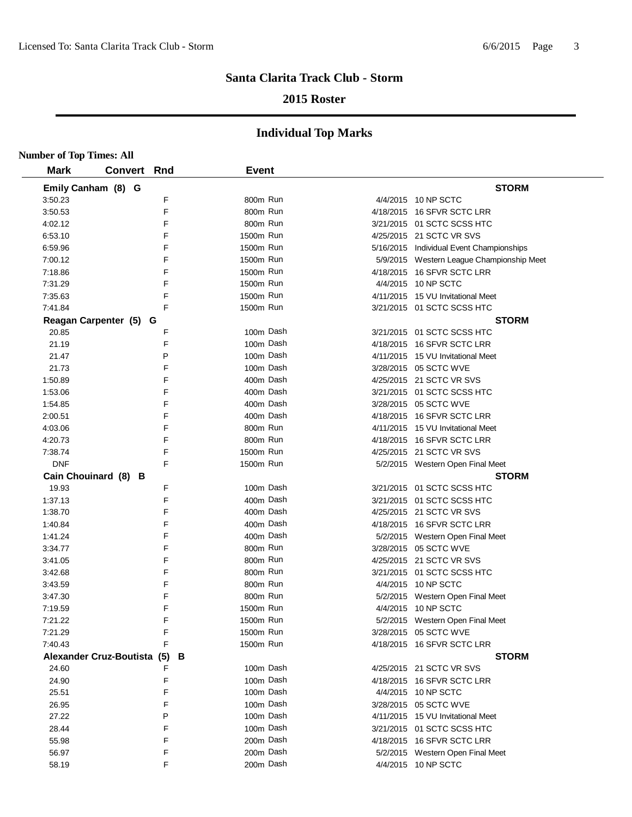## **2015 Roster**

| <b>Number of Top Times: All</b> |                             |   |              |                                           |
|---------------------------------|-----------------------------|---|--------------|-------------------------------------------|
| <b>Mark</b>                     | <b>Convert Rnd</b>          |   | <b>Event</b> |                                           |
|                                 | Emily Canham (8) G          |   |              | <b>STORM</b>                              |
| 3:50.23                         |                             | F | 800m Run     | 4/4/2015 10 NP SCTC                       |
| 3:50.53                         |                             | F | 800m Run     | 4/18/2015 16 SFVR SCTC LRR                |
| 4:02.12                         |                             | F | 800m Run     | 3/21/2015 01 SCTC SCSS HTC                |
| 6:53.10                         |                             | F | 1500m Run    | 4/25/2015 21 SCTC VR SVS                  |
| 6:59.96                         |                             | F | 1500m Run    | 5/16/2015 Individual Event Championships  |
| 7:00.12                         |                             | F | 1500m Run    | 5/9/2015 Western League Championship Meet |
| 7:18.86                         |                             | F | 1500m Run    | 4/18/2015 16 SFVR SCTC LRR                |
| 7:31.29                         |                             | F | 1500m Run    | 4/4/2015 10 NP SCTC                       |
| 7:35.63                         |                             | F | 1500m Run    | 4/11/2015 15 VU Invitational Meet         |
| 7:41.84                         |                             | F | 1500m Run    | 3/21/2015 01 SCTC SCSS HTC                |
|                                 | Reagan Carpenter (5) G      |   |              | <b>STORM</b>                              |
| 20.85                           |                             | F | 100m Dash    | 3/21/2015 01 SCTC SCSS HTC                |
| 21.19                           |                             | F | 100m Dash    | 4/18/2015 16 SFVR SCTC LRR                |
| 21.47                           |                             | P | 100m Dash    | 4/11/2015 15 VU Invitational Meet         |
| 21.73                           |                             | F | 100m Dash    | 3/28/2015 05 SCTC WVE                     |
| 1:50.89                         |                             | F | 400m Dash    | 4/25/2015 21 SCTC VR SVS                  |
| 1:53.06                         |                             | F | 400m Dash    | 3/21/2015 01 SCTC SCSS HTC                |
| 1:54.85                         |                             | F | 400m Dash    | 3/28/2015 05 SCTC WVE                     |
| 2:00.51                         |                             | F | 400m Dash    | 4/18/2015 16 SFVR SCTC LRR                |
| 4:03.06                         |                             | F | 800m Run     | 4/11/2015 15 VU Invitational Meet         |
| 4:20.73                         |                             | F | 800m Run     | 4/18/2015 16 SFVR SCTC LRR                |
| 7:38.74                         |                             | F | 1500m Run    | 4/25/2015 21 SCTC VR SVS                  |
| <b>DNF</b>                      |                             | F | 1500m Run    | 5/2/2015 Western Open Final Meet          |
|                                 | Cain Chouinard (8) B        |   |              | <b>STORM</b>                              |
| 19.93                           |                             | F | 100m Dash    | 3/21/2015 01 SCTC SCSS HTC                |
| 1:37.13                         |                             | F | 400m Dash    | 3/21/2015 01 SCTC SCSS HTC                |
| 1:38.70                         |                             | F | 400m Dash    | 4/25/2015 21 SCTC VR SVS                  |
| 1:40.84                         |                             | F | 400m Dash    | 4/18/2015 16 SFVR SCTC LRR                |
| 1:41.24                         |                             | F | 400m Dash    | 5/2/2015 Western Open Final Meet          |
| 3:34.77                         |                             | F | 800m Run     | 3/28/2015 05 SCTC WVE                     |
| 3:41.05                         |                             | F | 800m Run     | 4/25/2015 21 SCTC VR SVS                  |
| 3:42.68                         |                             | F | 800m Run     | 3/21/2015 01 SCTC SCSS HTC                |
| 3:43.59                         |                             | F | 800m Run     | 4/4/2015 10 NP SCTC                       |
| 3:47.30                         |                             | F | 800m Run     | 5/2/2015 Western Open Final Meet          |
| 7:19.59                         |                             | F | 1500m Run    | 4/4/2015 10 NP SCTC                       |
| 7:21.22                         |                             | F | 1500m Run    | 5/2/2015 Western Open Final Meet          |
| 7:21.29                         |                             | F | 1500m Run    | 3/28/2015 05 SCTC WVE                     |
| 7:40.43                         |                             | F | 1500m Run    | 4/18/2015 16 SFVR SCTC LRR                |
|                                 | Alexander Cruz-Boutista (5) | В |              | <b>STORM</b>                              |
| 24.60                           |                             | F | 100m Dash    | 4/25/2015 21 SCTC VR SVS                  |
| 24.90                           |                             | F | 100m Dash    | 4/18/2015 16 SFVR SCTC LRR                |
| 25.51                           |                             | F | 100m Dash    | 4/4/2015 10 NP SCTC                       |
| 26.95                           |                             | F | 100m Dash    | 3/28/2015 05 SCTC WVE                     |
| 27.22                           |                             | P | 100m Dash    | 4/11/2015 15 VU Invitational Meet         |
| 28.44                           |                             | F | 100m Dash    | 3/21/2015 01 SCTC SCSS HTC                |
| 55.98                           |                             | F | 200m Dash    | 4/18/2015 16 SFVR SCTC LRR                |
| 56.97                           |                             | F | 200m Dash    | 5/2/2015 Western Open Final Meet          |
| 58.19                           |                             | F | 200m Dash    | 4/4/2015 10 NP SCTC                       |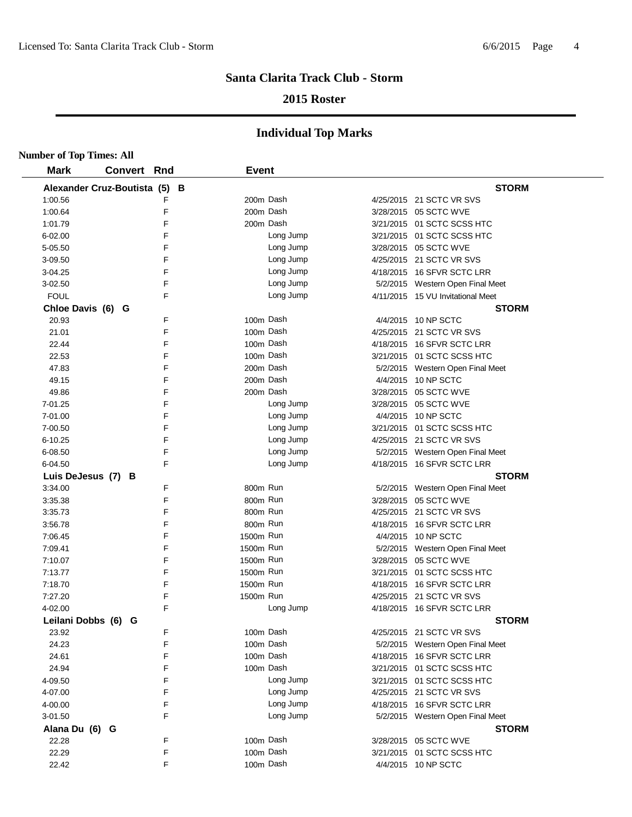## **2015 Roster**

| <b>Number of Top Times: All</b> |                               |   |              |           |                                   |
|---------------------------------|-------------------------------|---|--------------|-----------|-----------------------------------|
| <b>Mark</b>                     | <b>Convert Rnd</b>            |   | <b>Event</b> |           |                                   |
|                                 | Alexander Cruz-Boutista (5) B |   |              |           | <b>STORM</b>                      |
| 1:00.56                         |                               | F | 200m Dash    |           | 4/25/2015 21 SCTC VR SVS          |
| 1:00.64                         |                               | F | 200m Dash    |           | 3/28/2015 05 SCTC WVE             |
| 1:01.79                         |                               | F | 200m Dash    |           | 3/21/2015 01 SCTC SCSS HTC        |
| $6 - 02.00$                     |                               | F |              | Long Jump | 3/21/2015 01 SCTC SCSS HTC        |
| 5-05.50                         |                               | F |              | Long Jump | 3/28/2015 05 SCTC WVE             |
| 3-09.50                         |                               | F |              | Long Jump | 4/25/2015 21 SCTC VR SVS          |
| 3-04.25                         |                               | F |              | Long Jump | 4/18/2015 16 SFVR SCTC LRR        |
| 3-02.50                         |                               | F |              | Long Jump | 5/2/2015 Western Open Final Meet  |
| <b>FOUL</b>                     |                               | F |              | Long Jump | 4/11/2015 15 VU Invitational Meet |
| Chloe Davis (6) G               |                               |   |              |           | <b>STORM</b>                      |
| 20.93                           |                               | F | 100m Dash    |           | 4/4/2015 10 NP SCTC               |
| 21.01                           |                               | F | 100m Dash    |           | 4/25/2015 21 SCTC VR SVS          |
| 22.44                           |                               | F | 100m Dash    |           | 4/18/2015 16 SFVR SCTC LRR        |
| 22.53                           |                               | F | 100m Dash    |           | 3/21/2015 01 SCTC SCSS HTC        |
| 47.83                           |                               | F | 200m Dash    |           | 5/2/2015 Western Open Final Meet  |
| 49.15                           |                               | F | 200m Dash    |           | 4/4/2015 10 NP SCTC               |
| 49.86                           |                               | F | 200m Dash    |           | 3/28/2015 05 SCTC WVE             |
| 7-01.25                         |                               | F |              | Long Jump | 3/28/2015 05 SCTC WVE             |
| 7-01.00                         |                               | F |              | Long Jump | 4/4/2015 10 NP SCTC               |
| 7-00.50                         |                               | F |              | Long Jump | 3/21/2015 01 SCTC SCSS HTC        |
| $6 - 10.25$                     |                               | F |              | Long Jump | 4/25/2015 21 SCTC VR SVS          |
| 6-08.50                         |                               | F |              | Long Jump | 5/2/2015 Western Open Final Meet  |
| 6-04.50                         |                               | F |              | Long Jump | 4/18/2015 16 SFVR SCTC LRR        |
|                                 | Luis DeJesus (7) B            |   |              |           | <b>STORM</b>                      |
| 3:34.00                         |                               | F | 800m Run     |           | 5/2/2015 Western Open Final Meet  |
| 3:35.38                         |                               | F | 800m Run     |           | 3/28/2015 05 SCTC WVE             |
| 3:35.73                         |                               | F | 800m Run     |           | 4/25/2015 21 SCTC VR SVS          |
| 3:56.78                         |                               | F | 800m Run     |           | 4/18/2015 16 SFVR SCTC LRR        |
| 7:06.45                         |                               | F | 1500m Run    |           | 4/4/2015 10 NP SCTC               |
| 7:09.41                         |                               | F | 1500m Run    |           | 5/2/2015 Western Open Final Meet  |
| 7:10.07                         |                               | F | 1500m Run    |           | 3/28/2015 05 SCTC WVE             |
| 7:13.77                         |                               | F | 1500m Run    |           | 3/21/2015 01 SCTC SCSS HTC        |
| 7:18.70                         |                               | F | 1500m Run    |           | 4/18/2015 16 SFVR SCTC LRR        |
| 7:27.20                         |                               | F | 1500m Run    |           | 4/25/2015 21 SCTC VR SVS          |
| 4-02.00                         |                               | F |              | Long Jump | 4/18/2015 16 SFVR SCTC LRR        |
|                                 | Leilani Dobbs (6) G           |   |              |           | <b>STORM</b>                      |
| 23.92                           |                               | F |              | 100m Dash | 4/25/2015 21 SCTC VR SVS          |
| 24.23                           |                               | F |              | 100m Dash | 5/2/2015 Western Open Final Meet  |
| 24.61                           |                               | F | 100m Dash    |           | 4/18/2015 16 SFVR SCTC LRR        |
| 24.94                           |                               | F | 100m Dash    |           | 3/21/2015 01 SCTC SCSS HTC        |
| 4-09.50                         |                               | F |              | Long Jump | 3/21/2015 01 SCTC SCSS HTC        |
| 4-07.00                         |                               | F |              | Long Jump | 4/25/2015 21 SCTC VR SVS          |
| 4-00.00                         |                               | F |              | Long Jump | 4/18/2015 16 SFVR SCTC LRR        |
| 3-01.50                         |                               | F |              | Long Jump | 5/2/2015 Western Open Final Meet  |
| Alana Du (6) G                  |                               |   |              |           | <b>STORM</b>                      |
| 22.28                           |                               | F | 100m Dash    |           | 3/28/2015 05 SCTC WVE             |
| 22.29                           |                               | F | 100m Dash    |           | 3/21/2015 01 SCTC SCSS HTC        |
| 22.42                           |                               | F | 100m Dash    |           | 4/4/2015 10 NP SCTC               |
|                                 |                               |   |              |           |                                   |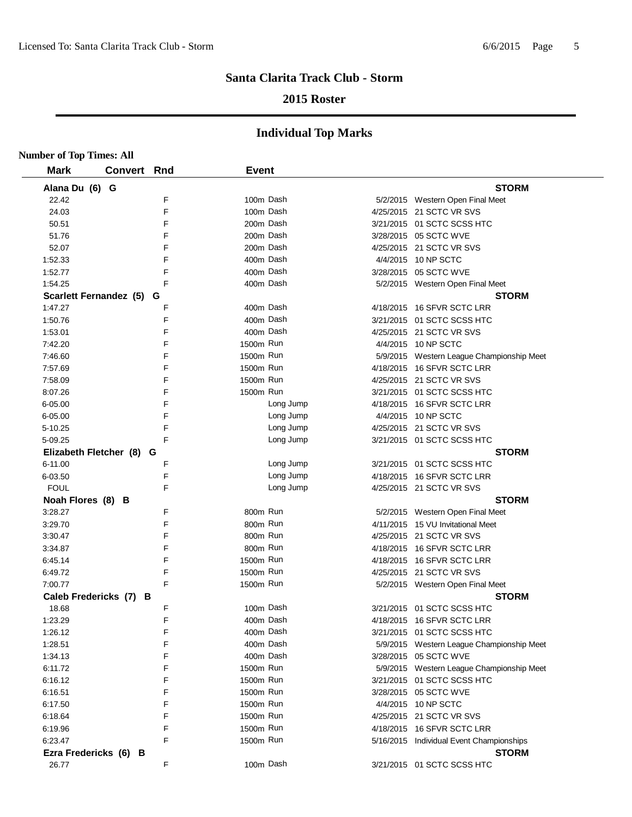## **2015 Roster**

| <b>Number of Top Times: All</b> |             |        |              |           |                                           |
|---------------------------------|-------------|--------|--------------|-----------|-------------------------------------------|
| <b>Mark</b>                     | Convert Rnd |        | <b>Event</b> |           |                                           |
| Alana Du (6) G                  |             |        |              |           | <b>STORM</b>                              |
| 22.42                           |             | F      |              | 100m Dash | 5/2/2015 Western Open Final Meet          |
| 24.03                           |             | F      |              | 100m Dash | 4/25/2015 21 SCTC VR SVS                  |
| 50.51                           |             | F      |              | 200m Dash | 3/21/2015 01 SCTC SCSS HTC                |
| 51.76                           |             | F      |              | 200m Dash | 3/28/2015 05 SCTC WVE                     |
| 52.07                           |             | F      |              | 200m Dash | 4/25/2015 21 SCTC VR SVS                  |
| 1:52.33                         |             | F      |              | 400m Dash | 4/4/2015 10 NP SCTC                       |
| 1:52.77                         |             | F      |              | 400m Dash | 3/28/2015 05 SCTC WVE                     |
| 1:54.25                         |             | E      |              | 400m Dash | 5/2/2015 Western Open Final Meet          |
| Scarlett Fernandez (5) G        |             |        |              |           | <b>STORM</b>                              |
| 1:47.27                         |             | F      |              | 400m Dash | 4/18/2015 16 SFVR SCTC LRR                |
| 1:50.76                         |             | F      |              | 400m Dash | 3/21/2015 01 SCTC SCSS HTC                |
| 1:53.01                         |             | F      |              | 400m Dash | 4/25/2015 21 SCTC VR SVS                  |
| 7:42.20                         |             | F      | 1500m Run    |           | 4/4/2015 10 NP SCTC                       |
| 7:46.60                         |             | F      | 1500m Run    |           | 5/9/2015 Western League Championship Meet |
| 7:57.69                         |             | F      | 1500m Run    |           | 4/18/2015 16 SFVR SCTC LRR                |
| 7:58.09                         |             | F      | 1500m Run    |           | 4/25/2015 21 SCTC VR SVS                  |
| 8:07.26                         |             | F      | 1500m Run    |           | 3/21/2015 01 SCTC SCSS HTC                |
| 6-05.00                         |             | F      |              | Long Jump | 4/18/2015 16 SFVR SCTC LRR                |
| 6-05.00                         |             | F      |              | Long Jump | 4/4/2015 10 NP SCTC                       |
| 5-10.25                         |             | F      |              | Long Jump | 4/25/2015 21 SCTC VR SVS                  |
| 5-09.25                         |             | F      |              | Long Jump | 3/21/2015 01 SCTC SCSS HTC                |
| Elizabeth Fletcher (8) G        |             |        |              |           | <b>STORM</b>                              |
| 6-11.00                         |             | F      |              | Long Jump | 3/21/2015 01 SCTC SCSS HTC                |
| 6-03.50                         |             | F      |              | Long Jump | 4/18/2015 16 SFVR SCTC LRR                |
| <b>FOUL</b>                     |             | E      |              | Long Jump | 4/25/2015 21 SCTC VR SVS                  |
| Noah Flores (8) B               |             |        |              |           | <b>STORM</b>                              |
| 3:28.27                         |             | F      | 800m Run     |           | 5/2/2015 Western Open Final Meet          |
| 3:29.70                         |             | F      | 800m Run     |           | 4/11/2015 15 VU Invitational Meet         |
| 3:30.47                         |             | F      | 800m Run     |           | 4/25/2015 21 SCTC VR SVS                  |
| 3:34.87                         |             | F      | 800m Run     |           | 4/18/2015 16 SFVR SCTC LRR                |
| 6:45.14                         |             | F      | 1500m Run    |           | 4/18/2015 16 SFVR SCTC LRR                |
| 6:49.72                         |             | F      | 1500m Run    |           | 4/25/2015 21 SCTC VR SVS                  |
| 7:00.77                         |             | F      | 1500m Run    |           | 5/2/2015 Western Open Final Meet          |
| Caleb Fredericks (7) B          |             |        |              |           | <b>STORM</b>                              |
| 18.68                           |             | F      |              | 100m Dash | 3/21/2015  01 SCTC SCSS HTC               |
| 1:23.29                         |             | F      |              | 400m Dash | 4/18/2015 16 SFVR SCTC LRR                |
| 1:26.12                         |             | F      |              | 400m Dash | 3/21/2015 01 SCTC SCSS HTC                |
| 1:28.51                         |             | F      |              | 400m Dash | 5/9/2015 Western League Championship Meet |
| 1:34.13                         |             | F      |              | 400m Dash | 3/28/2015 05 SCTC WVE                     |
| 6:11.72                         |             | F      | 1500m Run    |           | 5/9/2015 Western League Championship Meet |
|                                 |             | F      | 1500m Run    |           | 3/21/2015 01 SCTC SCSS HTC                |
| 6:16.12<br>6:16.51              |             | F      | 1500m Run    |           | 3/28/2015 05 SCTC WVE                     |
|                                 |             | F      | 1500m Run    |           | 4/4/2015 10 NP SCTC                       |
| 6:17.50                         |             | F      |              |           |                                           |
| 6:18.64                         |             |        | 1500m Run    |           | 4/25/2015 21 SCTC VR SVS                  |
| 6:19.96                         |             | F<br>F | 1500m Run    |           | 4/18/2015 16 SFVR SCTC LRR                |
| 6:23.47                         |             |        | 1500m Run    |           | 5/16/2015 Individual Event Championships  |
| Ezra Fredericks (6) B           |             |        |              |           | <b>STORM</b>                              |
| 26.77                           |             | F      |              | 100m Dash | 3/21/2015 01 SCTC SCSS HTC                |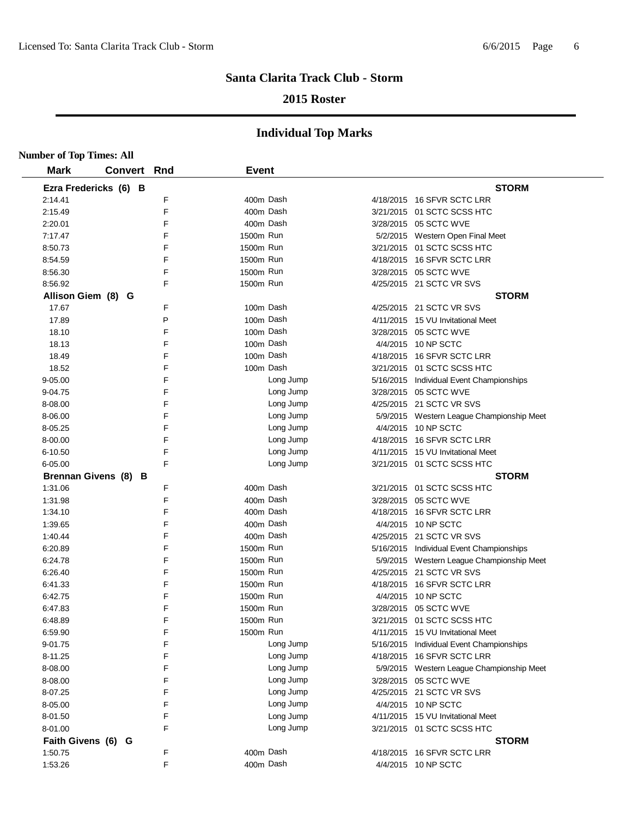## **2015 Roster**

| <b>Number of Top Times: All</b> |                       |     |              |           |                                           |
|---------------------------------|-----------------------|-----|--------------|-----------|-------------------------------------------|
| <b>Mark</b>                     | <b>Convert</b>        | Rnd | <b>Event</b> |           |                                           |
|                                 | Ezra Fredericks (6) B |     |              |           | <b>STORM</b>                              |
| 2:14.41                         |                       | F   | 400m Dash    |           | 4/18/2015 16 SFVR SCTC LRR                |
| 2:15.49                         |                       | F   | 400m Dash    |           | 3/21/2015 01 SCTC SCSS HTC                |
| 2:20.01                         |                       | F   | 400m Dash    |           | 3/28/2015 05 SCTC WVE                     |
| 7:17.47                         |                       | F   | 1500m Run    |           | 5/2/2015 Western Open Final Meet          |
| 8:50.73                         |                       | F   | 1500m Run    |           | 3/21/2015 01 SCTC SCSS HTC                |
| 8:54.59                         |                       | F   | 1500m Run    |           | 4/18/2015 16 SFVR SCTC LRR                |
| 8:56.30                         |                       | F   | 1500m Run    |           | 3/28/2015 05 SCTC WVE                     |
| 8:56.92                         |                       | F   | 1500m Run    |           | 4/25/2015 21 SCTC VR SVS                  |
|                                 | Allison Giem (8) G    |     |              |           | <b>STORM</b>                              |
| 17.67                           |                       | F   | 100m Dash    |           | 4/25/2015 21 SCTC VR SVS                  |
| 17.89                           |                       | P   |              | 100m Dash | 4/11/2015 15 VU Invitational Meet         |
| 18.10                           |                       | E   | 100m Dash    |           | 3/28/2015 05 SCTC WVE                     |
| 18.13                           |                       | F   | 100m Dash    |           | 4/4/2015 10 NP SCTC                       |
| 18.49                           |                       | F   | 100m Dash    |           | 4/18/2015 16 SFVR SCTC LRR                |
| 18.52                           |                       | F   |              | 100m Dash | 3/21/2015 01 SCTC SCSS HTC                |
| $9 - 05.00$                     |                       | F   |              | Long Jump | 5/16/2015 Individual Event Championships  |
| 9-04.75                         |                       | F   |              | Long Jump | 3/28/2015 05 SCTC WVE                     |
| 8-08.00                         |                       | F   |              | Long Jump | 4/25/2015 21 SCTC VR SVS                  |
| 8-06.00                         |                       | F   |              | Long Jump | 5/9/2015 Western League Championship Meet |
| 8-05.25                         |                       | F   |              | Long Jump | 4/4/2015 10 NP SCTC                       |
| 8-00.00                         |                       | F   |              | Long Jump | 4/18/2015 16 SFVR SCTC LRR                |
| 6-10.50                         |                       | F   |              | Long Jump | 4/11/2015 15 VU Invitational Meet         |
| 6-05.00                         |                       | E   |              | Long Jump | 3/21/2015 01 SCTC SCSS HTC                |
|                                 | Brennan Givens (8) B  |     |              |           | <b>STORM</b>                              |
| 1:31.06                         |                       | E   | 400m Dash    |           | 3/21/2015 01 SCTC SCSS HTC                |
| 1:31.98                         |                       | F   | 400m Dash    |           | 3/28/2015 05 SCTC WVE                     |
| 1:34.10                         |                       | F   | 400m Dash    |           | 4/18/2015 16 SFVR SCTC LRR                |
| 1:39.65                         |                       | F   | 400m Dash    |           | 4/4/2015 10 NP SCTC                       |
| 1:40.44                         |                       | F   | 400m Dash    |           | 4/25/2015 21 SCTC VR SVS                  |
| 6:20.89                         |                       | F   | 1500m Run    |           | 5/16/2015 Individual Event Championships  |
| 6:24.78                         |                       | F   | 1500m Run    |           | 5/9/2015 Western League Championship Meet |
| 6:26.40                         |                       | F   | 1500m Run    |           | 4/25/2015 21 SCTC VR SVS                  |
| 6:41.33                         |                       | F   | 1500m Run    |           | 4/18/2015 16 SFVR SCTC LRR                |
| 6:42.75                         |                       | F   | 1500m Run    |           | 4/4/2015 10 NP SCTC                       |
| 6:47.83                         |                       | F   | 1500m Run    |           | 3/28/2015 05 SCTC WVE                     |
| 6:48.89                         |                       | F   | 1500m Run    |           | 3/21/2015 01 SCTC SCSS HTC                |
| 6:59.90                         |                       | F   | 1500m Run    |           | 4/11/2015 15 VU Invitational Meet         |
| 9-01.75                         |                       | F   |              | Long Jump | 5/16/2015 Individual Event Championships  |
| 8-11.25                         |                       | F   |              | Long Jump | 4/18/2015 16 SFVR SCTC LRR                |
| 8-08.00                         |                       | F   |              | Long Jump | 5/9/2015 Western League Championship Meet |
| 8-08.00                         |                       | F   |              | Long Jump | 3/28/2015 05 SCTC WVE                     |
| 8-07.25                         |                       | F   |              | Long Jump | 4/25/2015 21 SCTC VR SVS                  |
| 8-05.00                         |                       | F   |              | Long Jump | 4/4/2015 10 NP SCTC                       |
| 8-01.50                         |                       | F   |              | Long Jump | 4/11/2015 15 VU Invitational Meet         |
| 8-01.00                         |                       | F   |              | Long Jump | 3/21/2015 01 SCTC SCSS HTC                |
| Faith Givens (6) G              |                       |     |              |           | <b>STORM</b>                              |
| 1:50.75                         |                       | F   | 400m Dash    |           | 4/18/2015 16 SFVR SCTC LRR                |
| 1:53.26                         |                       | F   |              | 400m Dash | 4/4/2015 10 NP SCTC                       |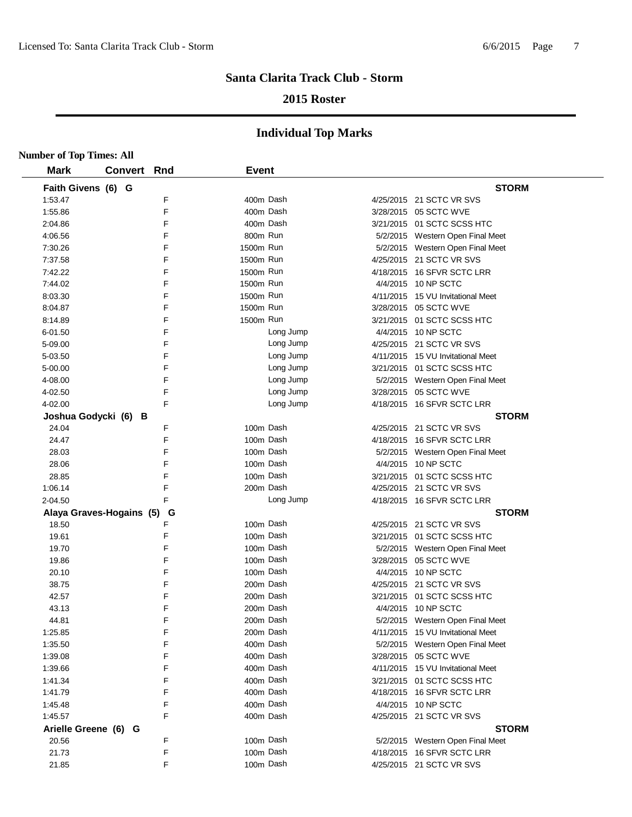## **2015 Roster**

| <b>Number of Top Times: All</b> |                    |        |              |           |                                                  |
|---------------------------------|--------------------|--------|--------------|-----------|--------------------------------------------------|
| <b>Mark</b>                     | <b>Convert Rnd</b> |        | <b>Event</b> |           |                                                  |
| Faith Givens (6) G              |                    |        |              |           | <b>STORM</b>                                     |
| 1:53.47                         |                    | F      | 400m Dash    |           | 4/25/2015 21 SCTC VR SVS                         |
| 1:55.86                         |                    | F      | 400m Dash    |           | 3/28/2015 05 SCTC WVE                            |
| 2:04.86                         |                    | F      |              | 400m Dash | 3/21/2015 01 SCTC SCSS HTC                       |
| 4:06.56                         |                    | F      | 800m Run     |           | 5/2/2015 Western Open Final Meet                 |
| 7:30.26                         |                    | F      | 1500m Run    |           | 5/2/2015 Western Open Final Meet                 |
| 7:37.58                         |                    | F      | 1500m Run    |           | 4/25/2015 21 SCTC VR SVS                         |
| 7:42.22                         |                    | F      | 1500m Run    |           | 4/18/2015 16 SFVR SCTC LRR                       |
| 7:44.02                         |                    | F      | 1500m Run    |           | 4/4/2015 10 NP SCTC                              |
| 8:03.30                         |                    | F      | 1500m Run    |           | 4/11/2015 15 VU Invitational Meet                |
| 8:04.87                         |                    | F      | 1500m Run    |           | 3/28/2015 05 SCTC WVE                            |
| 8:14.89                         |                    | F      | 1500m Run    |           | 3/21/2015 01 SCTC SCSS HTC                       |
| 6-01.50                         |                    | F      |              | Long Jump | 4/4/2015 10 NP SCTC                              |
| 5-09.00                         |                    | F      |              | Long Jump | 4/25/2015 21 SCTC VR SVS                         |
| 5-03.50                         |                    | F      |              | Long Jump | 4/11/2015 15 VU Invitational Meet                |
| 5-00.00                         |                    | F      |              | Long Jump | 3/21/2015 01 SCTC SCSS HTC                       |
| 4-08.00                         |                    | F      |              | Long Jump | 5/2/2015 Western Open Final Meet                 |
| 4-02.50                         |                    | F      |              | Long Jump | 3/28/2015 05 SCTC WVE                            |
| 4-02.00                         |                    | F      |              | Long Jump | 4/18/2015 16 SFVR SCTC LRR                       |
| Joshua Godycki (6) B            |                    |        |              |           | <b>STORM</b>                                     |
| 24.04                           |                    | F      | 100m Dash    |           | 4/25/2015 21 SCTC VR SVS                         |
| 24.47                           |                    | F      |              | 100m Dash | 4/18/2015 16 SFVR SCTC LRR                       |
| 28.03                           |                    | F      | 100m Dash    |           | 5/2/2015 Western Open Final Meet                 |
| 28.06                           |                    | F      | 100m Dash    |           | 4/4/2015 10 NP SCTC                              |
| 28.85                           |                    | F      | 100m Dash    |           | 3/21/2015 01 SCTC SCSS HTC                       |
| 1:06.14                         |                    | F      | 200m Dash    |           | 4/25/2015 21 SCTC VR SVS                         |
| 2-04.50                         |                    | F      |              | Long Jump | 4/18/2015 16 SFVR SCTC LRR                       |
| Alaya Graves-Hogains (5)        |                    | G      |              |           | <b>STORM</b>                                     |
| 18.50                           |                    | F      |              | 100m Dash | 4/25/2015 21 SCTC VR SVS                         |
| 19.61                           |                    | F      |              | 100m Dash | 3/21/2015 01 SCTC SCSS HTC                       |
| 19.70                           |                    | F      | 100m Dash    |           | 5/2/2015 Western Open Final Meet                 |
| 19.86                           |                    | F      | 100m Dash    |           | 3/28/2015 05 SCTC WVE                            |
| 20.10                           |                    | F      |              | 100m Dash | 4/4/2015 10 NP SCTC                              |
| 38.75                           |                    | F      |              | 200m Dash | 4/25/2015 21 SCTC VR SVS                         |
| 42.57                           |                    | F      |              | 200m Dash | 3/21/2015 01 SCTC SCSS HTC                       |
| 43.13                           |                    | F      |              | 200m Dash | 4/4/2015 10 NP SCTC                              |
| 44.81                           |                    | F      |              | 200m Dash | 5/2/2015 Western Open Final Meet                 |
| 1:25.85                         |                    | F      |              | 200m Dash | 4/11/2015 15 VU Invitational Meet                |
| 1:35.50                         |                    | F      |              | 400m Dash | 5/2/2015 Western Open Final Meet                 |
| 1:39.08                         |                    | F      |              | 400m Dash | 3/28/2015 05 SCTC WVE                            |
| 1:39.66                         |                    | F      | 400m Dash    |           | 4/11/2015 15 VU Invitational Meet                |
| 1:41.34                         |                    | F<br>F | 400m Dash    |           | 3/21/2015 01 SCTC SCSS HTC                       |
| 1:41.79                         |                    |        | 400m Dash    |           | 4/18/2015 16 SFVR SCTC LRR                       |
| 1:45.48                         |                    | F      | 400m Dash    |           | 4/4/2015 10 NP SCTC                              |
| 1:45.57                         |                    | F      | 400m Dash    |           | 4/25/2015 21 SCTC VR SVS                         |
| Arielle Greene (6) G<br>20.56   |                    | F      | 100m Dash    |           | <b>STORM</b><br>5/2/2015 Western Open Final Meet |
| 21.73                           |                    | F      | 100m Dash    |           | 4/18/2015 16 SFVR SCTC LRR                       |
| 21.85                           |                    | F      | 100m Dash    |           | 4/25/2015 21 SCTC VR SVS                         |
|                                 |                    |        |              |           |                                                  |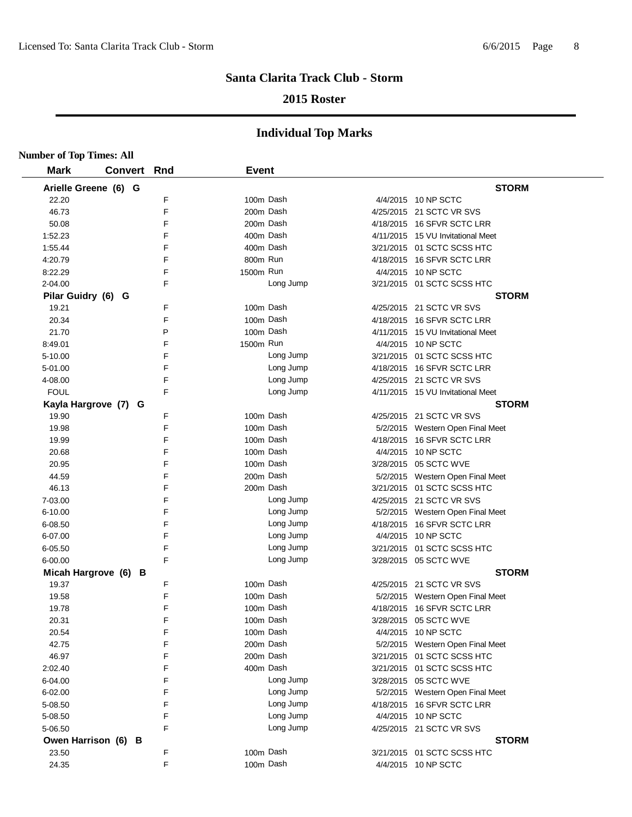## **2015 Roster**

|                    | <b>Number of Top Times: All</b> |     |              |           |  |                                   |  |  |  |  |
|--------------------|---------------------------------|-----|--------------|-----------|--|-----------------------------------|--|--|--|--|
| <b>Mark</b>        | <b>Convert</b>                  | Rnd | <b>Event</b> |           |  |                                   |  |  |  |  |
|                    | Arielle Greene (6) G            |     |              |           |  | <b>STORM</b>                      |  |  |  |  |
| 22.20              |                                 | F   | 100m Dash    |           |  | 4/4/2015 10 NP SCTC               |  |  |  |  |
| 46.73              |                                 | F   |              | 200m Dash |  | 4/25/2015 21 SCTC VR SVS          |  |  |  |  |
| 50.08              |                                 | F   |              | 200m Dash |  | 4/18/2015 16 SFVR SCTC LRR        |  |  |  |  |
| 1:52.23            |                                 | F   |              | 400m Dash |  | 4/11/2015 15 VU Invitational Meet |  |  |  |  |
| 1:55.44            |                                 | F   | 400m Dash    |           |  | 3/21/2015 01 SCTC SCSS HTC        |  |  |  |  |
| 4:20.79            |                                 | F   | 800m Run     |           |  | 4/18/2015 16 SFVR SCTC LRR        |  |  |  |  |
| 8:22.29            |                                 | F   | 1500m Run    |           |  | 4/4/2015 10 NP SCTC               |  |  |  |  |
| 2-04.00            |                                 | F   |              | Long Jump |  | 3/21/2015 01 SCTC SCSS HTC        |  |  |  |  |
| Pilar Guidry (6) G |                                 |     |              |           |  | <b>STORM</b>                      |  |  |  |  |
| 19.21              |                                 | F   | 100m Dash    |           |  | 4/25/2015 21 SCTC VR SVS          |  |  |  |  |
| 20.34              |                                 | F   |              | 100m Dash |  | 4/18/2015 16 SFVR SCTC LRR        |  |  |  |  |
| 21.70              |                                 | P   |              | 100m Dash |  | 4/11/2015 15 VU Invitational Meet |  |  |  |  |
| 8:49.01            |                                 | F   | 1500m Run    |           |  | 4/4/2015 10 NP SCTC               |  |  |  |  |
| 5-10.00            |                                 | F   |              | Long Jump |  | 3/21/2015 01 SCTC SCSS HTC        |  |  |  |  |
| 5-01.00            |                                 | F   |              | Long Jump |  | 4/18/2015 16 SFVR SCTC LRR        |  |  |  |  |
| 4-08.00            |                                 | F   |              | Long Jump |  | 4/25/2015 21 SCTC VR SVS          |  |  |  |  |
| <b>FOUL</b>        |                                 | F   |              | Long Jump |  | 4/11/2015 15 VU Invitational Meet |  |  |  |  |
|                    | Kayla Hargrove (7) G            |     |              |           |  | <b>STORM</b>                      |  |  |  |  |
| 19.90              |                                 | F   |              | 100m Dash |  | 4/25/2015 21 SCTC VR SVS          |  |  |  |  |
| 19.98              |                                 | F   |              | 100m Dash |  | 5/2/2015 Western Open Final Meet  |  |  |  |  |
| 19.99              |                                 | F   |              | 100m Dash |  | 4/18/2015 16 SFVR SCTC LRR        |  |  |  |  |
| 20.68              |                                 | F   |              | 100m Dash |  | 4/4/2015 10 NP SCTC               |  |  |  |  |
| 20.95              |                                 | F   |              | 100m Dash |  | 3/28/2015 05 SCTC WVE             |  |  |  |  |
| 44.59              |                                 | F   | 200m Dash    |           |  | 5/2/2015 Western Open Final Meet  |  |  |  |  |
| 46.13              |                                 | F   |              | 200m Dash |  | 3/21/2015 01 SCTC SCSS HTC        |  |  |  |  |
| 7-03.00            |                                 | F   |              | Long Jump |  | 4/25/2015 21 SCTC VR SVS          |  |  |  |  |
| 6-10.00            |                                 | F   |              | Long Jump |  | 5/2/2015 Western Open Final Meet  |  |  |  |  |
| 6-08.50            |                                 | F   |              | Long Jump |  | 4/18/2015 16 SFVR SCTC LRR        |  |  |  |  |
| 6-07.00            |                                 | F   |              | Long Jump |  | 4/4/2015 10 NP SCTC               |  |  |  |  |
| $6 - 05.50$        |                                 | F   |              | Long Jump |  | 3/21/2015 01 SCTC SCSS HTC        |  |  |  |  |
| 6-00.00            |                                 | F   |              | Long Jump |  | 3/28/2015 05 SCTC WVE             |  |  |  |  |
|                    | Micah Hargrove (6) B            |     |              |           |  | <b>STORM</b>                      |  |  |  |  |
| 19.37              |                                 | F   | 100m Dash    |           |  | 4/25/2015 21 SCTC VR SVS          |  |  |  |  |
| 19.58              |                                 | F   |              | 100m Dash |  | 5/2/2015 Western Open Final Meet  |  |  |  |  |
| 19.78              |                                 | F   |              | 100m Dash |  | 4/18/2015 16 SFVR SCTC LRR        |  |  |  |  |
| 20.31              |                                 | F   |              | 100m Dash |  | 3/28/2015  05 SCTC WVE            |  |  |  |  |
| 20.54              |                                 | F   |              | 100m Dash |  | 4/4/2015 10 NP SCTC               |  |  |  |  |
| 42.75              |                                 | F   |              | 200m Dash |  | 5/2/2015 Western Open Final Meet  |  |  |  |  |
| 46.97              |                                 | F   |              | 200m Dash |  | 3/21/2015 01 SCTC SCSS HTC        |  |  |  |  |
| 2:02.40            |                                 | F   |              | 400m Dash |  | 3/21/2015 01 SCTC SCSS HTC        |  |  |  |  |
| 6-04.00            |                                 | F   |              | Long Jump |  | 3/28/2015 05 SCTC WVE             |  |  |  |  |
| 6-02.00            |                                 | F   |              | Long Jump |  | 5/2/2015 Western Open Final Meet  |  |  |  |  |
| 5-08.50            |                                 | F   |              | Long Jump |  | 4/18/2015 16 SFVR SCTC LRR        |  |  |  |  |
| 5-08.50            |                                 | F   |              | Long Jump |  | 4/4/2015 10 NP SCTC               |  |  |  |  |
| 5-06.50            |                                 | F   |              | Long Jump |  | 4/25/2015 21 SCTC VR SVS          |  |  |  |  |
|                    | Owen Harrison (6) B             |     |              |           |  | <b>STORM</b>                      |  |  |  |  |
| 23.50              |                                 | F   |              | 100m Dash |  | 3/21/2015 01 SCTC SCSS HTC        |  |  |  |  |
| 24.35              |                                 | F   |              | 100m Dash |  | 4/4/2015 10 NP SCTC               |  |  |  |  |
|                    |                                 |     |              |           |  |                                   |  |  |  |  |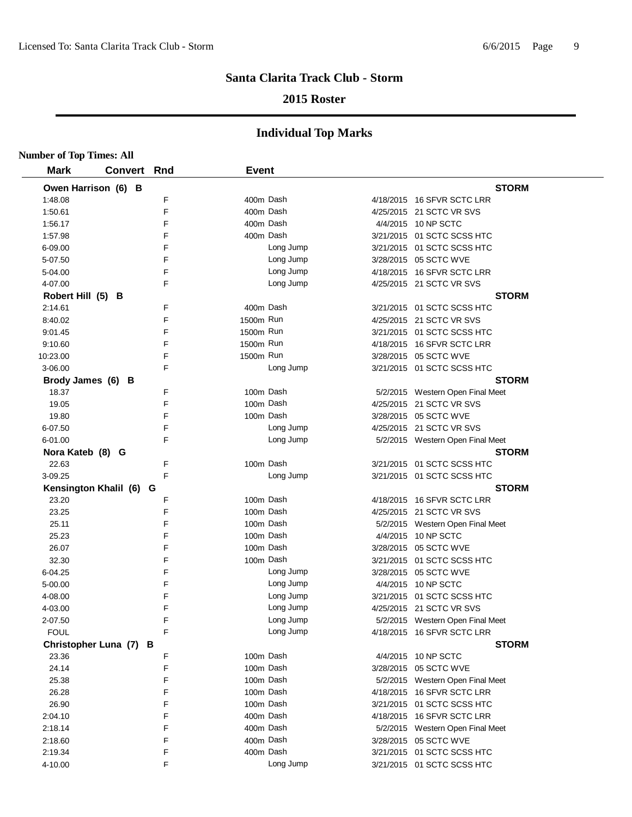## **2015 Roster**

| <b>Number of Top Times: All</b> |                         |     |              |           |                                  |
|---------------------------------|-------------------------|-----|--------------|-----------|----------------------------------|
| <b>Mark</b>                     | <b>Convert</b>          | Rnd | <b>Event</b> |           |                                  |
|                                 | Owen Harrison (6) B     |     |              |           | <b>STORM</b>                     |
| 1:48.08                         |                         | F   | 400m Dash    |           | 4/18/2015 16 SFVR SCTC LRR       |
| 1:50.61                         |                         | F   | 400m Dash    |           | 4/25/2015 21 SCTC VR SVS         |
| 1:56.17                         |                         | F   | 400m Dash    |           | 4/4/2015 10 NP SCTC              |
| 1:57.98                         |                         | F   | 400m Dash    |           | 3/21/2015 01 SCTC SCSS HTC       |
| 6-09.00                         |                         | F   |              | Long Jump | 3/21/2015 01 SCTC SCSS HTC       |
| 5-07.50                         |                         | F   |              | Long Jump | 3/28/2015 05 SCTC WVE            |
| 5-04.00                         |                         | F   |              | Long Jump | 4/18/2015 16 SFVR SCTC LRR       |
| 4-07.00                         |                         | F   |              | Long Jump | 4/25/2015 21 SCTC VR SVS         |
| Robert Hill (5) B               |                         |     |              |           | <b>STORM</b>                     |
| 2:14.61                         |                         | F   | 400m Dash    |           | 3/21/2015 01 SCTC SCSS HTC       |
| 8:40.02                         |                         | F   | 1500m Run    |           | 4/25/2015 21 SCTC VR SVS         |
| 9:01.45                         |                         | F   | 1500m Run    |           | 3/21/2015 01 SCTC SCSS HTC       |
| 9:10.60                         |                         | F   | 1500m Run    |           | 4/18/2015 16 SFVR SCTC LRR       |
| 10:23.00                        |                         | F   | 1500m Run    |           | 3/28/2015 05 SCTC WVE            |
| 3-06.00                         |                         | F   |              | Long Jump | 3/21/2015 01 SCTC SCSS HTC       |
| Brody James (6) B               |                         |     |              |           | <b>STORM</b>                     |
| 18.37                           |                         | F   | 100m Dash    |           | 5/2/2015 Western Open Final Meet |
| 19.05                           |                         | F   | 100m Dash    |           | 4/25/2015 21 SCTC VR SVS         |
| 19.80                           |                         | F   | 100m Dash    |           | 3/28/2015 05 SCTC WVE            |
| 6-07.50                         |                         | F   |              | Long Jump | 4/25/2015 21 SCTC VR SVS         |
| 6-01.00                         |                         | F   |              | Long Jump | 5/2/2015 Western Open Final Meet |
| Nora Kateb (8) G                |                         |     |              |           | <b>STORM</b>                     |
| 22.63                           |                         | F   | 100m Dash    |           | 3/21/2015 01 SCTC SCSS HTC       |
| 3-09.25                         |                         | F   |              | Long Jump | 3/21/2015 01 SCTC SCSS HTC       |
|                                 | Kensington Khalil (6) G |     |              |           | <b>STORM</b>                     |
| 23.20                           |                         | F   | 100m Dash    |           | 4/18/2015 16 SFVR SCTC LRR       |
| 23.25                           |                         | F   | 100m Dash    |           | 4/25/2015 21 SCTC VR SVS         |
| 25.11                           |                         | F   | 100m Dash    |           | 5/2/2015 Western Open Final Meet |
| 25.23                           |                         | F   | 100m Dash    |           | 4/4/2015 10 NP SCTC              |
| 26.07                           |                         | F   | 100m Dash    |           | 3/28/2015 05 SCTC WVE            |
| 32.30                           |                         | F   | 100m Dash    |           | 3/21/2015 01 SCTC SCSS HTC       |
| 6-04.25                         |                         | F   |              | Long Jump | 3/28/2015 05 SCTC WVE            |
| 5-00.00                         |                         | F   |              | Long Jump | 4/4/2015 10 NP SCTC              |
| 4-08.00                         |                         | F   |              | Long Jump | 3/21/2015 01 SCTC SCSS HTC       |
| 4-03.00                         |                         | F   |              | Long Jump | 4/25/2015 21 SCTC VR SVS         |
| 2-07.50                         |                         | F   |              | Long Jump | 5/2/2015 Western Open Final Meet |
| <b>FOUL</b>                     |                         | F   |              | Long Jump | 4/18/2015 16 SFVR SCTC LRR       |
|                                 | Christopher Luna (7) B  |     |              |           | <b>STORM</b>                     |
| 23.36                           |                         | F   | 100m Dash    |           | 4/4/2015 10 NP SCTC              |
| 24.14                           |                         | F   | 100m Dash    |           | 3/28/2015 05 SCTC WVE            |
| 25.38                           |                         | F   | 100m Dash    |           | 5/2/2015 Western Open Final Meet |
| 26.28                           |                         | F   | 100m Dash    |           | 4/18/2015 16 SFVR SCTC LRR       |
| 26.90                           |                         | F   | 100m Dash    |           | 3/21/2015 01 SCTC SCSS HTC       |
| 2:04.10                         |                         | F   | 400m Dash    |           | 4/18/2015 16 SFVR SCTC LRR       |
| 2:18.14                         |                         | F   | 400m Dash    |           | 5/2/2015 Western Open Final Meet |
| 2:18.60                         |                         | F   | 400m Dash    |           | 3/28/2015 05 SCTC WVE            |
| 2:19.34                         |                         | F   | 400m Dash    |           | 3/21/2015 01 SCTC SCSS HTC       |
| 4-10.00                         |                         | F   |              | Long Jump | 3/21/2015 01 SCTC SCSS HTC       |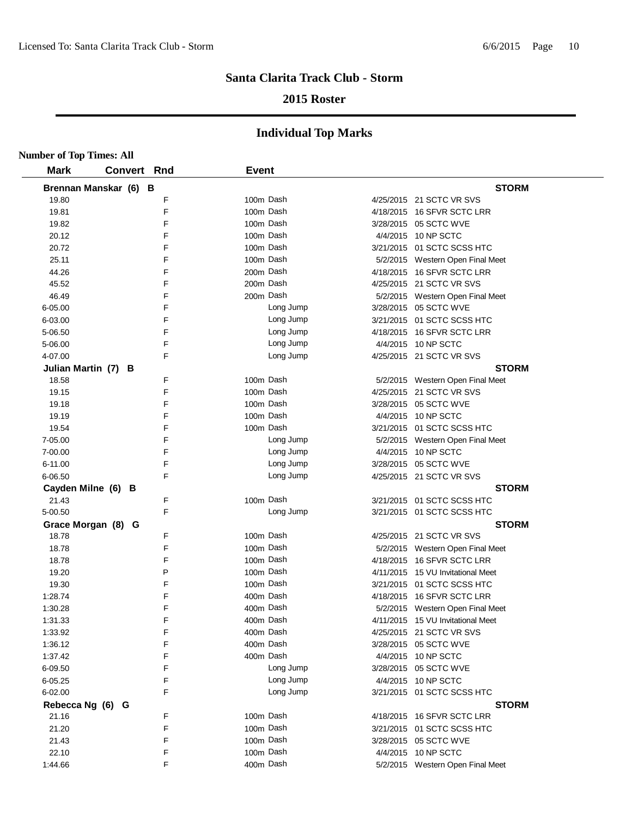## **2015 Roster**

| <b>Number of Top Times: All</b> |                       |   |              |                                   |
|---------------------------------|-----------------------|---|--------------|-----------------------------------|
| <b>Mark</b>                     | <b>Convert Rnd</b>    |   | <b>Event</b> |                                   |
|                                 | Brennan Manskar (6) B |   |              | <b>STORM</b>                      |
| 19.80                           |                       | F | 100m Dash    | 4/25/2015 21 SCTC VR SVS          |
| 19.81                           |                       | F | 100m Dash    | 4/18/2015 16 SFVR SCTC LRR        |
| 19.82                           |                       | F | 100m Dash    | 3/28/2015 05 SCTC WVE             |
| 20.12                           |                       | F | 100m Dash    | 4/4/2015 10 NP SCTC               |
| 20.72                           |                       | F | 100m Dash    | 3/21/2015 01 SCTC SCSS HTC        |
| 25.11                           |                       | E | 100m Dash    | 5/2/2015 Western Open Final Meet  |
| 44.26                           |                       | F | 200m Dash    | 4/18/2015 16 SFVR SCTC LRR        |
| 45.52                           |                       | E | 200m Dash    | 4/25/2015 21 SCTC VR SVS          |
| 46.49                           |                       | F | 200m Dash    | 5/2/2015 Western Open Final Meet  |
| 6-05.00                         |                       | F | Long Jump    | 3/28/2015 05 SCTC WVE             |
| 6-03.00                         |                       | F | Long Jump    | 3/21/2015 01 SCTC SCSS HTC        |
| 5-06.50                         |                       | F | Long Jump    | 4/18/2015 16 SFVR SCTC LRR        |
| 5-06.00                         |                       | F | Long Jump    | 4/4/2015 10 NP SCTC               |
| 4-07.00                         |                       | F | Long Jump    | 4/25/2015 21 SCTC VR SVS          |
|                                 | Julian Martin (7) B   |   |              | <b>STORM</b>                      |
| 18.58                           |                       | F | 100m Dash    | 5/2/2015 Western Open Final Meet  |
| 19.15                           |                       | F | 100m Dash    | 4/25/2015 21 SCTC VR SVS          |
| 19.18                           |                       | F | 100m Dash    | 3/28/2015 05 SCTC WVE             |
| 19.19                           |                       | F | 100m Dash    | 4/4/2015 10 NP SCTC               |
| 19.54                           |                       | F | 100m Dash    | 3/21/2015 01 SCTC SCSS HTC        |
| 7-05.00                         |                       | F | Long Jump    | 5/2/2015 Western Open Final Meet  |
| 7-00.00                         |                       | F | Long Jump    | 4/4/2015 10 NP SCTC               |
| $6 - 11.00$                     |                       | E | Long Jump    | 3/28/2015 05 SCTC WVE             |
| 6-06.50                         |                       | F | Long Jump    | 4/25/2015 21 SCTC VR SVS          |
|                                 | Cayden Milne (6) B    |   |              | <b>STORM</b>                      |
| 21.43                           |                       | F | 100m Dash    | 3/21/2015 01 SCTC SCSS HTC        |
| 5-00.50                         |                       | E | Long Jump    | 3/21/2015 01 SCTC SCSS HTC        |
|                                 | Grace Morgan (8) G    |   |              | <b>STORM</b>                      |
| 18.78                           |                       | F | 100m Dash    | 4/25/2015 21 SCTC VR SVS          |
| 18.78                           |                       | F | 100m Dash    | 5/2/2015 Western Open Final Meet  |
| 18.78                           |                       | F | 100m Dash    | 4/18/2015 16 SFVR SCTC LRR        |
| 19.20                           |                       | P | 100m Dash    | 4/11/2015 15 VU Invitational Meet |
| 19.30                           |                       | F | 100m Dash    | 3/21/2015 01 SCTC SCSS HTC        |
| 1:28.74                         |                       | F | 400m Dash    | 4/18/2015 16 SFVR SCTC LRR        |
| 1:30.28                         |                       | F | 400m Dash    | 5/2/2015 Western Open Final Meet  |
| 1:31.33                         |                       | F | 400m Dash    | 4/11/2015 15 VU Invitational Meet |
| 1:33.92                         |                       | F | 400m Dash    | 4/25/2015 21 SCTC VR SVS          |
| 1:36.12                         |                       | F | 400m Dash    | 3/28/2015 05 SCTC WVE             |
| 1:37.42                         |                       | F | 400m Dash    | 4/4/2015 10 NP SCTC               |
| 6-09.50                         |                       | F | Long Jump    | 3/28/2015 05 SCTC WVE             |
| $6 - 05.25$                     |                       | F | Long Jump    | 4/4/2015 10 NP SCTC               |
| 6-02.00                         |                       | F | Long Jump    | 3/21/2015 01 SCTC SCSS HTC        |
| Rebecca Ng (6) G                |                       |   |              | <b>STORM</b>                      |
| 21.16                           |                       | F | 100m Dash    | 4/18/2015 16 SFVR SCTC LRR        |
| 21.20                           |                       | F | 100m Dash    | 3/21/2015 01 SCTC SCSS HTC        |
| 21.43                           |                       | F | 100m Dash    | 3/28/2015 05 SCTC WVE             |
| 22.10                           |                       | F | 100m Dash    | 4/4/2015 10 NP SCTC               |
| 1:44.66                         |                       | F | 400m Dash    | 5/2/2015 Western Open Final Meet  |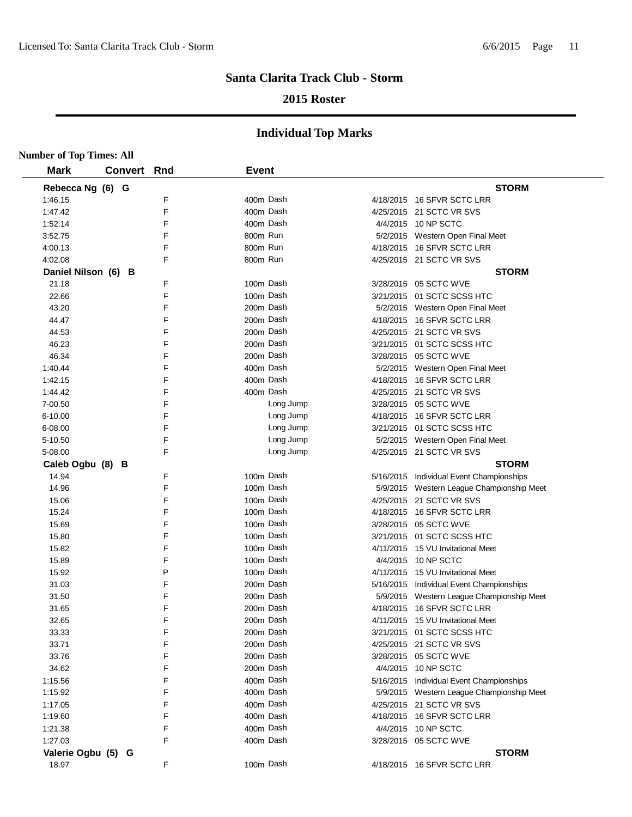## **2015 Roster**

|                     | <b>Number of Top Times: All</b> |                |        |              |                        |  |                                                                 |  |  |  |
|---------------------|---------------------------------|----------------|--------|--------------|------------------------|--|-----------------------------------------------------------------|--|--|--|
| <b>Mark</b>         |                                 | <b>Convert</b> | Rnd    | <b>Event</b> |                        |  |                                                                 |  |  |  |
| Rebecca Ng (6) G    |                                 |                |        |              |                        |  | <b>STORM</b>                                                    |  |  |  |
| 1:46.15             |                                 |                | F      |              | 400m Dash              |  | 4/18/2015 16 SFVR SCTC LRR                                      |  |  |  |
| 1:47.42             |                                 |                | F      |              | 400m Dash              |  | 4/25/2015 21 SCTC VR SVS                                        |  |  |  |
| 1:52.14             |                                 |                | F      |              | 400m Dash              |  | 4/4/2015 10 NP SCTC                                             |  |  |  |
| 3:52.75             |                                 |                | F      | 800m Run     |                        |  | 5/2/2015 Western Open Final Meet                                |  |  |  |
| 4:00.13             |                                 |                | F      | 800m Run     |                        |  | 4/18/2015 16 SFVR SCTC LRR                                      |  |  |  |
| 4:02.08             |                                 |                | F      | 800m Run     |                        |  | 4/25/2015 21 SCTC VR SVS                                        |  |  |  |
| Daniel Nilson (6) B |                                 |                |        |              |                        |  | <b>STORM</b>                                                    |  |  |  |
| 21.18               |                                 |                | F      |              | 100m Dash              |  | 3/28/2015 05 SCTC WVE                                           |  |  |  |
| 22.66               |                                 |                | F      |              | 100m Dash              |  | 3/21/2015 01 SCTC SCSS HTC                                      |  |  |  |
| 43.20               |                                 |                | F      |              | 200m Dash              |  | 5/2/2015 Western Open Final Meet                                |  |  |  |
| 44.47               |                                 |                | F      |              | 200m Dash              |  | 4/18/2015 16 SFVR SCTC LRR                                      |  |  |  |
| 44.53               |                                 |                | F      |              | 200m Dash              |  | 4/25/2015 21 SCTC VR SVS                                        |  |  |  |
| 46.23               |                                 |                | F      |              | 200m Dash              |  | 3/21/2015 01 SCTC SCSS HTC                                      |  |  |  |
| 46.34               |                                 |                | F      |              | 200m Dash              |  | 3/28/2015 05 SCTC WVE                                           |  |  |  |
| 1:40.44             |                                 |                | F      |              | 400m Dash              |  | 5/2/2015 Western Open Final Meet                                |  |  |  |
| 1:42.15             |                                 |                | F      |              | 400m Dash              |  | 4/18/2015 16 SFVR SCTC LRR                                      |  |  |  |
| 1:44.42             |                                 |                | F      |              | 400m Dash              |  | 4/25/2015 21 SCTC VR SVS                                        |  |  |  |
| 7-00.50             |                                 |                | F      |              | Long Jump              |  | 3/28/2015 05 SCTC WVE                                           |  |  |  |
| $6 - 10.00$         |                                 |                | F      |              | Long Jump              |  | 4/18/2015 16 SFVR SCTC LRR                                      |  |  |  |
| 6-08.00             |                                 |                | F      |              | Long Jump              |  | 3/21/2015 01 SCTC SCSS HTC                                      |  |  |  |
| 5-10.50             |                                 |                | F      |              | Long Jump              |  | 5/2/2015 Western Open Final Meet                                |  |  |  |
| 5-08.00             |                                 |                | F      |              | Long Jump              |  | 4/25/2015 21 SCTC VR SVS                                        |  |  |  |
| Caleb Ogbu (8) B    |                                 |                |        |              |                        |  | <b>STORM</b>                                                    |  |  |  |
| 14.94               |                                 |                | F      |              | 100m Dash              |  | 5/16/2015 Individual Event Championships                        |  |  |  |
| 14.96               |                                 |                | F      |              | 100m Dash              |  | 5/9/2015 Western League Championship Meet                       |  |  |  |
| 15.06               |                                 |                | F      |              | 100m Dash              |  | 4/25/2015 21 SCTC VR SVS                                        |  |  |  |
| 15.24               |                                 |                | F      |              | 100m Dash              |  | 4/18/2015 16 SFVR SCTC LRR                                      |  |  |  |
| 15.69               |                                 |                | F      |              | 100m Dash              |  | 3/28/2015 05 SCTC WVE                                           |  |  |  |
| 15.80               |                                 |                | F      |              | 100m Dash              |  | 3/21/2015 01 SCTC SCSS HTC                                      |  |  |  |
| 15.82               |                                 |                | F      |              | 100m Dash              |  | 4/11/2015 15 VU Invitational Meet                               |  |  |  |
| 15.89               |                                 |                | F      |              | 100m Dash              |  | 4/4/2015 10 NP SCTC                                             |  |  |  |
| 15.92               |                                 |                | P      |              | 100m Dash              |  | 4/11/2015 15 VU Invitational Meet                               |  |  |  |
| 31.03               |                                 |                | F      |              | 200m Dash              |  | 5/16/2015 Individual Event Championships                        |  |  |  |
| 31.50               |                                 |                | F      |              | 200m Dash              |  | 5/9/2015 Western League Championship Meet                       |  |  |  |
|                     |                                 |                | F      |              | 200m Dash              |  | 4/18/2015 16 SFVR SCTC LRR                                      |  |  |  |
| 31.65               |                                 |                | F      |              | 200m Dash              |  |                                                                 |  |  |  |
| 32.65               |                                 |                | F      |              | 200m Dash              |  | 4/11/2015 15 VU Invitational Meet<br>3/21/2015 01 SCTC SCSS HTC |  |  |  |
| 33.33               |                                 |                | F      |              |                        |  |                                                                 |  |  |  |
| 33.71               |                                 |                |        |              | 200m Dash              |  | 4/25/2015 21 SCTC VR SVS                                        |  |  |  |
| 33.76               |                                 |                | F<br>F |              | 200m Dash<br>200m Dash |  | 3/28/2015 05 SCTC WVE<br>4/4/2015 10 NP SCTC                    |  |  |  |
| 34.62               |                                 |                |        |              |                        |  |                                                                 |  |  |  |
| 1:15.56             |                                 |                | F<br>F |              | 400m Dash              |  | 5/16/2015 Individual Event Championships                        |  |  |  |
| 1:15.92             |                                 |                |        |              | 400m Dash              |  | 5/9/2015 Western League Championship Meet                       |  |  |  |
| 1:17.05             |                                 |                | F      |              | 400m Dash              |  | 4/25/2015 21 SCTC VR SVS                                        |  |  |  |
| 1:19.60             |                                 |                | F      |              | 400m Dash              |  | 4/18/2015 16 SFVR SCTC LRR                                      |  |  |  |
| 1:21.38             |                                 |                | F      |              | 400m Dash              |  | 4/4/2015 10 NP SCTC                                             |  |  |  |
| 1:27.03             |                                 |                | F      |              | 400m Dash              |  | 3/28/2015 05 SCTC WVE                                           |  |  |  |
| Valerie Ogbu (5) G  |                                 |                |        |              |                        |  | <b>STORM</b>                                                    |  |  |  |
| 18.97               |                                 |                | F      |              | 100m Dash              |  | 4/18/2015 16 SFVR SCTC LRR                                      |  |  |  |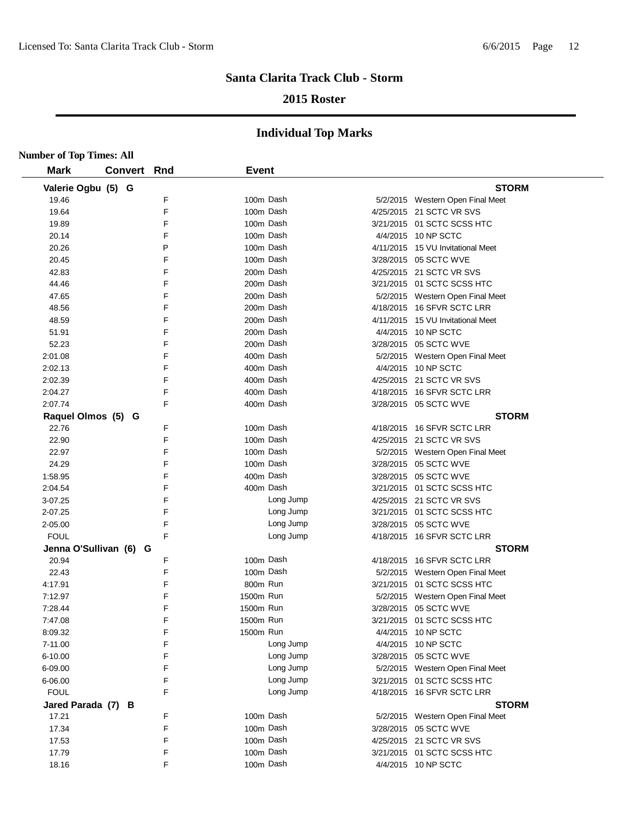## **2015 Roster**

| <b>Number of Top Times: All</b> |             |   |              |           |                                   |
|---------------------------------|-------------|---|--------------|-----------|-----------------------------------|
| <b>Mark</b>                     | Convert Rnd |   | <b>Event</b> |           |                                   |
| Valerie Ogbu (5) G              |             |   |              |           | <b>STORM</b>                      |
| 19.46                           |             | F | 100m Dash    |           | 5/2/2015 Western Open Final Meet  |
| 19.64                           |             | F | 100m Dash    |           | 4/25/2015 21 SCTC VR SVS          |
| 19.89                           |             | F | 100m Dash    |           | 3/21/2015 01 SCTC SCSS HTC        |
| 20.14                           |             | F | 100m Dash    |           | 4/4/2015 10 NP SCTC               |
| 20.26                           |             | P | 100m Dash    |           | 4/11/2015 15 VU Invitational Meet |
| 20.45                           |             | F | 100m Dash    |           | 3/28/2015 05 SCTC WVE             |
| 42.83                           |             | F | 200m Dash    |           | 4/25/2015 21 SCTC VR SVS          |
| 44.46                           |             | F | 200m Dash    |           | 3/21/2015 01 SCTC SCSS HTC        |
| 47.65                           |             | F | 200m Dash    |           | 5/2/2015 Western Open Final Meet  |
| 48.56                           |             | F | 200m Dash    |           | 4/18/2015 16 SFVR SCTC LRR        |
| 48.59                           |             | F | 200m Dash    |           | 4/11/2015 15 VU Invitational Meet |
| 51.91                           |             | F | 200m Dash    |           | 4/4/2015 10 NP SCTC               |
| 52.23                           |             | F | 200m Dash    |           | 3/28/2015 05 SCTC WVE             |
| 2:01.08                         |             | F | 400m Dash    |           | 5/2/2015 Western Open Final Meet  |
| 2:02.13                         |             | F | 400m Dash    |           | 4/4/2015 10 NP SCTC               |
| 2:02.39                         |             | F | 400m Dash    |           | 4/25/2015 21 SCTC VR SVS          |
| 2:04.27                         |             | F | 400m Dash    |           | 4/18/2015 16 SFVR SCTC LRR        |
| 2:07.74                         |             | F | 400m Dash    |           | 3/28/2015 05 SCTC WVE             |
| Raquel Olmos (5) G              |             |   |              |           | <b>STORM</b>                      |
| 22.76                           |             | F | 100m Dash    |           | 4/18/2015 16 SFVR SCTC LRR        |
| 22.90                           |             | F | 100m Dash    |           | 4/25/2015 21 SCTC VR SVS          |
| 22.97                           |             | F | 100m Dash    |           | 5/2/2015 Western Open Final Meet  |
| 24.29                           |             | F | 100m Dash    |           | 3/28/2015 05 SCTC WVE             |
| 1:58.95                         |             | F | 400m Dash    |           | 3/28/2015 05 SCTC WVE             |
| 2:04.54                         |             | F | 400m Dash    |           | 3/21/2015 01 SCTC SCSS HTC        |
| 3-07.25                         |             | F |              | Long Jump | 4/25/2015 21 SCTC VR SVS          |
| 2-07.25                         |             | F |              | Long Jump | 3/21/2015 01 SCTC SCSS HTC        |
| 2-05.00                         |             | F |              | Long Jump | 3/28/2015 05 SCTC WVE             |
| <b>FOUL</b>                     |             | F |              | Long Jump | 4/18/2015 16 SFVR SCTC LRR        |
| Jenna O'Sullivan (6) G          |             |   |              |           | <b>STORM</b>                      |
| 20.94                           |             | F | 100m Dash    |           | 4/18/2015 16 SFVR SCTC LRR        |
| 22.43                           |             | F | 100m Dash    |           | 5/2/2015 Western Open Final Meet  |
| 4:17.91                         |             | F | 800m Run     |           | 3/21/2015 01 SCTC SCSS HTC        |
| 7:12.97                         |             | F | 1500m Run    |           | 5/2/2015 Western Open Final Meet  |
| 7:28.44                         |             | F | 1500m Run    |           | 3/28/2015 05 SCTC WVE             |
| 7:47.08                         |             | F | 1500m Run    |           | 3/21/2015  01 SCTC SCSS HTC       |
| 8:09.32                         |             | F | 1500m Run    |           | 4/4/2015 10 NP SCTC               |
| 7-11.00                         |             | F |              | Long Jump | 4/4/2015 10 NP SCTC               |
| 6-10.00                         |             | F |              | Long Jump | 3/28/2015 05 SCTC WVE             |
| 6-09.00                         |             | F |              | Long Jump | 5/2/2015 Western Open Final Meet  |
| 6-06.00                         |             | F |              | Long Jump | 3/21/2015 01 SCTC SCSS HTC        |
| <b>FOUL</b>                     |             | F |              | Long Jump | 4/18/2015 16 SFVR SCTC LRR        |
| Jared Parada (7) B              |             |   |              |           | <b>STORM</b>                      |
| 17.21                           |             | F | 100m Dash    |           | 5/2/2015 Western Open Final Meet  |
| 17.34                           |             | F | 100m Dash    |           | 3/28/2015 05 SCTC WVE             |
| 17.53                           |             | F | 100m Dash    |           | 4/25/2015 21 SCTC VR SVS          |
| 17.79                           |             | F | 100m Dash    |           | 3/21/2015 01 SCTC SCSS HTC        |
| 18.16                           |             | F | 100m Dash    |           | 4/4/2015 10 NP SCTC               |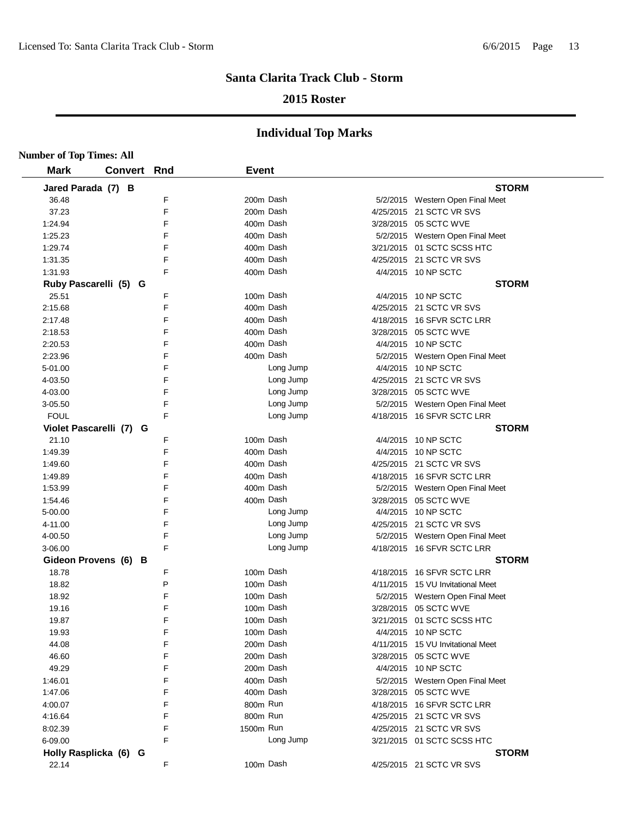## **2015 Roster**

| <b>Number of Top Times: All</b> |             |   |              |           |                                   |
|---------------------------------|-------------|---|--------------|-----------|-----------------------------------|
| <b>Mark</b>                     | Convert Rnd |   | <b>Event</b> |           |                                   |
| Jared Parada (7) B              |             |   |              |           | <b>STORM</b>                      |
| 36.48                           |             | F |              | 200m Dash | 5/2/2015 Western Open Final Meet  |
| 37.23                           |             | F |              | 200m Dash | 4/25/2015 21 SCTC VR SVS          |
| 1:24.94                         |             | F |              | 400m Dash | 3/28/2015 05 SCTC WVE             |
| 1:25.23                         |             | F |              | 400m Dash | 5/2/2015 Western Open Final Meet  |
| 1:29.74                         |             | F |              | 400m Dash | 3/21/2015 01 SCTC SCSS HTC        |
| 1:31.35                         |             | F |              | 400m Dash | 4/25/2015 21 SCTC VR SVS          |
| 1:31.93                         |             | F |              | 400m Dash | 4/4/2015 10 NP SCTC               |
| Ruby Pascarelli (5) G           |             |   |              |           | <b>STORM</b>                      |
| 25.51                           |             | F |              | 100m Dash | 4/4/2015 10 NP SCTC               |
| 2:15.68                         |             | F |              | 400m Dash | 4/25/2015 21 SCTC VR SVS          |
| 2:17.48                         |             | F |              | 400m Dash | 4/18/2015 16 SFVR SCTC LRR        |
| 2:18.53                         |             | F |              | 400m Dash | 3/28/2015 05 SCTC WVE             |
| 2:20.53                         |             | F |              | 400m Dash | 4/4/2015 10 NP SCTC               |
| 2:23.96                         |             | F |              | 400m Dash | 5/2/2015 Western Open Final Meet  |
| 5-01.00                         |             | F |              | Long Jump | 4/4/2015 10 NP SCTC               |
| 4-03.50                         |             | F |              | Long Jump | 4/25/2015 21 SCTC VR SVS          |
| 4-03.00                         |             | F |              | Long Jump | 3/28/2015 05 SCTC WVE             |
| 3-05.50                         |             | F |              | Long Jump | 5/2/2015 Western Open Final Meet  |
| <b>FOUL</b>                     |             | F |              | Long Jump | 4/18/2015 16 SFVR SCTC LRR        |
| Violet Pascarelli (7) G         |             |   |              |           | <b>STORM</b>                      |
| 21.10                           |             | F |              | 100m Dash | 4/4/2015 10 NP SCTC               |
| 1:49.39                         |             | F |              | 400m Dash | 4/4/2015 10 NP SCTC               |
| 1:49.60                         |             | F |              | 400m Dash | 4/25/2015 21 SCTC VR SVS          |
| 1:49.89                         |             | F |              | 400m Dash | 4/18/2015 16 SFVR SCTC LRR        |
| 1:53.99                         |             | F |              | 400m Dash | 5/2/2015 Western Open Final Meet  |
| 1:54.46                         |             | F |              | 400m Dash | 3/28/2015 05 SCTC WVE             |
| 5-00.00                         |             | F |              | Long Jump | 4/4/2015 10 NP SCTC               |
| 4-11.00                         |             | F |              | Long Jump | 4/25/2015 21 SCTC VR SVS          |
| 4-00.50                         |             | F |              | Long Jump | 5/2/2015 Western Open Final Meet  |
| 3-06.00                         |             | F |              | Long Jump | 4/18/2015 16 SFVR SCTC LRR        |
| Gideon Provens (6) B            |             |   |              |           | <b>STORM</b>                      |
| 18.78                           |             | F |              | 100m Dash | 4/18/2015 16 SFVR SCTC LRR        |
| 18.82                           |             | P |              | 100m Dash | 4/11/2015 15 VU Invitational Meet |
| 18.92                           |             | F |              | 100m Dash | 5/2/2015 Western Open Final Meet  |
| 19.16                           |             | F |              | 100m Dash | 3/28/2015 05 SCTC WVE             |
| 19.87                           |             | F |              | 100m Dash | 3/21/2015  01 SCTC SCSS HTC       |
| 19.93                           |             | F |              | 100m Dash | 4/4/2015 10 NP SCTC               |
| 44.08                           |             | F |              | 200m Dash | 4/11/2015 15 VU Invitational Meet |
| 46.60                           |             | F |              | 200m Dash | 3/28/2015 05 SCTC WVE             |
| 49.29                           |             | F |              | 200m Dash | 4/4/2015 10 NP SCTC               |
| 1:46.01                         |             | F |              | 400m Dash | 5/2/2015 Western Open Final Meet  |
| 1:47.06                         |             | F |              | 400m Dash | 3/28/2015 05 SCTC WVE             |
| 4:00.07                         |             | F | 800m Run     |           | 4/18/2015 16 SFVR SCTC LRR        |
| 4:16.64                         |             | F | 800m Run     |           | 4/25/2015 21 SCTC VR SVS          |
| 8:02.39                         |             | F | 1500m Run    |           | 4/25/2015 21 SCTC VR SVS          |
| 6-09.00                         |             | F |              | Long Jump | 3/21/2015 01 SCTC SCSS HTC        |
| Holly Rasplicka (6) G           |             |   |              |           | <b>STORM</b>                      |
| 22.14                           |             | F |              | 100m Dash | 4/25/2015 21 SCTC VR SVS          |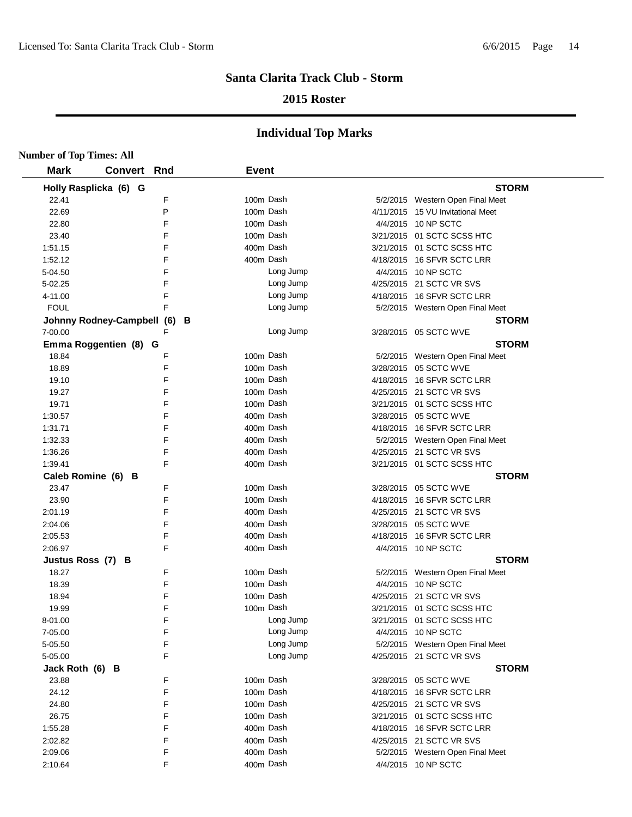## **2015 Roster**

| <b>Number of Top Times: All</b> |                            |     |              |           |                                   |
|---------------------------------|----------------------------|-----|--------------|-----------|-----------------------------------|
| <b>Mark</b>                     | <b>Convert Rnd</b>         |     | <b>Event</b> |           |                                   |
|                                 | Holly Rasplicka (6) G      |     |              |           | <b>STORM</b>                      |
| 22.41                           |                            | F   | 100m Dash    |           | 5/2/2015 Western Open Final Meet  |
| 22.69                           |                            | P   |              | 100m Dash | 4/11/2015 15 VU Invitational Meet |
| 22.80                           |                            | F   |              | 100m Dash | 4/4/2015 10 NP SCTC               |
| 23.40                           |                            | F   |              | 100m Dash | 3/21/2015 01 SCTC SCSS HTC        |
| 1:51.15                         |                            | F   | 400m Dash    |           | 3/21/2015 01 SCTC SCSS HTC        |
| 1:52.12                         |                            | F   | 400m Dash    |           | 4/18/2015 16 SFVR SCTC LRR        |
| 5-04.50                         |                            | F   |              | Long Jump | 4/4/2015 10 NP SCTC               |
| 5-02.25                         |                            | F   |              | Long Jump | 4/25/2015 21 SCTC VR SVS          |
| 4-11.00                         |                            | F   |              | Long Jump | 4/18/2015 16 SFVR SCTC LRR        |
| <b>FOUL</b>                     |                            | F   |              | Long Jump | 5/2/2015 Western Open Final Meet  |
|                                 | Johnny Rodney-Campbell (6) | - в |              |           | <b>STORM</b>                      |
| 7-00.00                         |                            | F   |              | Long Jump | 3/28/2015 05 SCTC WVE             |
|                                 | Emma Roggentien (8) G      |     |              |           | <b>STORM</b>                      |
| 18.84                           |                            | F   | 100m Dash    |           | 5/2/2015 Western Open Final Meet  |
| 18.89                           |                            | F   |              | 100m Dash | 3/28/2015 05 SCTC WVE             |
| 19.10                           |                            | F   |              | 100m Dash | 4/18/2015 16 SFVR SCTC LRR        |
| 19.27                           |                            | F   |              | 100m Dash | 4/25/2015 21 SCTC VR SVS          |
| 19.71                           |                            | F   |              | 100m Dash | 3/21/2015 01 SCTC SCSS HTC        |
| 1:30.57                         |                            | F   |              | 400m Dash | 3/28/2015 05 SCTC WVE             |
| 1:31.71                         |                            | F   |              | 400m Dash | 4/18/2015 16 SFVR SCTC LRR        |
| 1:32.33                         |                            | F   |              | 400m Dash | 5/2/2015 Western Open Final Meet  |
| 1:36.26                         |                            | F   | 400m Dash    |           | 4/25/2015 21 SCTC VR SVS          |
| 1:39.41                         |                            | F   | 400m Dash    |           | 3/21/2015 01 SCTC SCSS HTC        |
| Caleb Romine (6) B              |                            |     |              |           | <b>STORM</b>                      |
| 23.47                           |                            | F   |              | 100m Dash | 3/28/2015 05 SCTC WVE             |
| 23.90                           |                            | F   | 100m Dash    |           | 4/18/2015 16 SFVR SCTC LRR        |
| 2:01.19                         |                            | F   | 400m Dash    |           | 4/25/2015 21 SCTC VR SVS          |
| 2:04.06                         |                            | F   |              | 400m Dash | 3/28/2015 05 SCTC WVE             |
| 2:05.53                         |                            | F   |              | 400m Dash | 4/18/2015 16 SFVR SCTC LRR        |
| 2:06.97                         |                            | F   | 400m Dash    |           | 4/4/2015 10 NP SCTC               |
| Justus Ross (7) B               |                            |     |              |           | <b>STORM</b>                      |
| 18.27                           |                            | F   | 100m Dash    |           | 5/2/2015 Western Open Final Meet  |
| 18.39                           |                            | F   |              | 100m Dash | 4/4/2015 10 NP SCTC               |
| 18.94                           |                            | F   |              | 100m Dash | 4/25/2015 21 SCTC VR SVS          |
| 19.99                           |                            | F   |              | 100m Dash | 3/21/2015  01 SCTC SCSS HTC       |
| 8-01.00                         |                            | F   |              | Long Jump | 3/21/2015 01 SCTC SCSS HTC        |
| 7-05.00                         |                            | F   |              | Long Jump | 4/4/2015 10 NP SCTC               |
| 5-05.50                         |                            | F   |              | Long Jump | 5/2/2015 Western Open Final Meet  |
| 5-05.00                         |                            | F   |              | Long Jump | 4/25/2015 21 SCTC VR SVS          |
| Jack Roth (6) B                 |                            |     |              |           | <b>STORM</b>                      |
| 23.88                           |                            | F   | 100m Dash    |           | 3/28/2015 05 SCTC WVE             |
| 24.12                           |                            | F   |              | 100m Dash | 4/18/2015 16 SFVR SCTC LRR        |
| 24.80                           |                            | F   | 100m Dash    |           | 4/25/2015 21 SCTC VR SVS          |
| 26.75                           |                            | F   |              | 100m Dash | 3/21/2015 01 SCTC SCSS HTC        |
| 1:55.28                         |                            | F   |              | 400m Dash | 4/18/2015 16 SFVR SCTC LRR        |
| 2:02.82                         |                            | F   |              | 400m Dash | 4/25/2015 21 SCTC VR SVS          |
| 2:09.06                         |                            | F   | 400m Dash    |           | 5/2/2015 Western Open Final Meet  |
| 2:10.64                         |                            | F   |              | 400m Dash | 4/4/2015 10 NP SCTC               |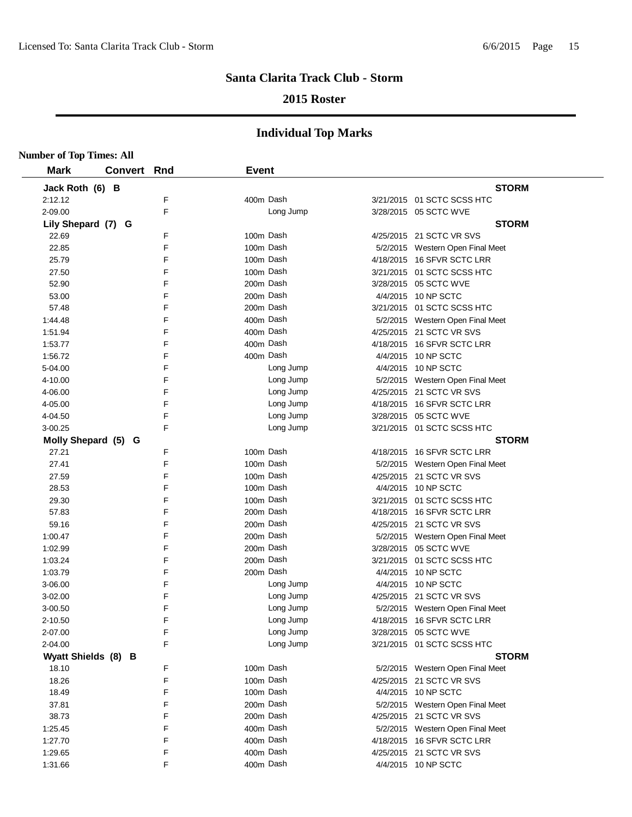## **2015 Roster**

| <b>Number of Top Times: All</b> |                    |   |              |           |                                  |
|---------------------------------|--------------------|---|--------------|-----------|----------------------------------|
| <b>Mark</b>                     | <b>Convert Rnd</b> |   | <b>Event</b> |           |                                  |
| Jack Roth (6) B                 |                    |   |              |           | <b>STORM</b>                     |
| 2:12.12                         |                    | F |              | 400m Dash | 3/21/2015 01 SCTC SCSS HTC       |
| 2-09.00                         |                    | F |              | Long Jump | 3/28/2015 05 SCTC WVE            |
| Lily Shepard (7) G              |                    |   |              |           | <b>STORM</b>                     |
| 22.69                           |                    | F |              | 100m Dash | 4/25/2015 21 SCTC VR SVS         |
| 22.85                           |                    | F |              | 100m Dash | 5/2/2015 Western Open Final Meet |
| 25.79                           |                    | F |              | 100m Dash | 4/18/2015 16 SFVR SCTC LRR       |
| 27.50                           |                    | F |              | 100m Dash | 3/21/2015 01 SCTC SCSS HTC       |
| 52.90                           |                    | F |              | 200m Dash | 3/28/2015 05 SCTC WVE            |
| 53.00                           |                    | F |              | 200m Dash | 4/4/2015 10 NP SCTC              |
| 57.48                           |                    | F |              | 200m Dash | 3/21/2015 01 SCTC SCSS HTC       |
| 1:44.48                         |                    | F |              | 400m Dash | 5/2/2015 Western Open Final Meet |
| 1:51.94                         |                    | F |              | 400m Dash | 4/25/2015 21 SCTC VR SVS         |
| 1:53.77                         |                    | F |              | 400m Dash | 4/18/2015 16 SFVR SCTC LRR       |
| 1:56.72                         |                    | F |              | 400m Dash | 4/4/2015 10 NP SCTC              |
| 5-04.00                         |                    | F |              | Long Jump | 4/4/2015 10 NP SCTC              |
| 4-10.00                         |                    | F |              | Long Jump | 5/2/2015 Western Open Final Meet |
| 4-06.00                         |                    | F |              | Long Jump | 4/25/2015 21 SCTC VR SVS         |
| 4-05.00                         |                    | F |              | Long Jump | 4/18/2015 16 SFVR SCTC LRR       |
| 4-04.50                         |                    | F |              | Long Jump | 3/28/2015 05 SCTC WVE            |
| 3-00.25                         |                    | F |              | Long Jump | 3/21/2015 01 SCTC SCSS HTC       |
| Molly Shepard (5) G             |                    |   |              |           | <b>STORM</b>                     |
| 27.21                           |                    | F |              | 100m Dash | 4/18/2015 16 SFVR SCTC LRR       |
| 27.41                           |                    | F |              | 100m Dash | 5/2/2015 Western Open Final Meet |
| 27.59                           |                    | F |              | 100m Dash | 4/25/2015 21 SCTC VR SVS         |
| 28.53                           |                    | F |              | 100m Dash | 4/4/2015 10 NP SCTC              |
| 29.30                           |                    | F |              | 100m Dash | 3/21/2015 01 SCTC SCSS HTC       |
| 57.83                           |                    | F |              | 200m Dash | 4/18/2015 16 SFVR SCTC LRR       |
| 59.16                           |                    | F |              | 200m Dash | 4/25/2015 21 SCTC VR SVS         |
| 1:00.47                         |                    | F |              | 200m Dash | 5/2/2015 Western Open Final Meet |
| 1:02.99                         |                    | F |              | 200m Dash | 3/28/2015 05 SCTC WVE            |
| 1:03.24                         |                    | F |              | 200m Dash | 3/21/2015 01 SCTC SCSS HTC       |
| 1:03.79                         |                    | F |              | 200m Dash | 4/4/2015 10 NP SCTC              |
| 3-06.00                         |                    | F |              | Long Jump | 4/4/2015 10 NP SCTC              |
| 3-02.00                         |                    | F |              | Long Jump | 4/25/2015 21 SCTC VR SVS         |
| 3-00.50                         |                    | F |              | Long Jump | 5/2/2015 Western Open Final Meet |
| 2-10.50                         |                    | F |              | Long Jump | 4/18/2015 16 SFVR SCTC LRR       |
| 2-07.00                         |                    | F |              | Long Jump | 3/28/2015 05 SCTC WVE            |
| 2-04.00                         |                    | F |              | Long Jump | 3/21/2015 01 SCTC SCSS HTC       |
| Wyatt Shields (8) B             |                    |   |              |           | <b>STORM</b>                     |
| 18.10                           |                    | F |              | 100m Dash | 5/2/2015 Western Open Final Meet |
| 18.26                           |                    | F |              | 100m Dash | 4/25/2015 21 SCTC VR SVS         |
| 18.49                           |                    | F |              | 100m Dash | 4/4/2015 10 NP SCTC              |
| 37.81                           |                    | F |              | 200m Dash | 5/2/2015 Western Open Final Meet |
| 38.73                           |                    | F |              | 200m Dash | 4/25/2015 21 SCTC VR SVS         |
| 1:25.45                         |                    | F |              | 400m Dash | 5/2/2015 Western Open Final Meet |
| 1:27.70                         |                    | F |              | 400m Dash | 4/18/2015 16 SFVR SCTC LRR       |
| 1:29.65                         |                    | F |              | 400m Dash | 4/25/2015 21 SCTC VR SVS         |
| 1:31.66                         |                    | F |              | 400m Dash | 4/4/2015 10 NP SCTC              |
|                                 |                    |   |              |           |                                  |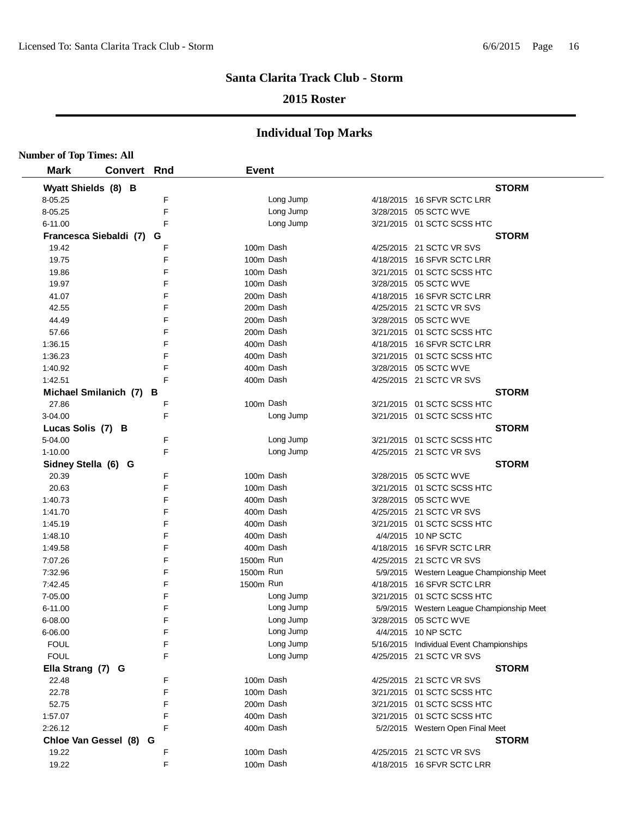## **2015 Roster**

| <b>Number of Top Times: All</b> |                        |   |              |           |                                           |
|---------------------------------|------------------------|---|--------------|-----------|-------------------------------------------|
| <b>Mark</b>                     | <b>Convert Rnd</b>     |   | <b>Event</b> |           |                                           |
| Wyatt Shields (8) B             |                        |   |              |           | <b>STORM</b>                              |
| 8-05.25                         |                        | F |              | Long Jump | 4/18/2015 16 SFVR SCTC LRR                |
| 8-05.25                         |                        | F |              | Long Jump | 3/28/2015 05 SCTC WVE                     |
| 6-11.00                         |                        | F |              | Long Jump | 3/21/2015 01 SCTC SCSS HTC                |
|                                 | Francesca Siebaldi (7) | G |              |           | <b>STORM</b>                              |
| 19.42                           |                        | F |              | 100m Dash | 4/25/2015 21 SCTC VR SVS                  |
| 19.75                           |                        | F |              | 100m Dash | 4/18/2015 16 SFVR SCTC LRR                |
| 19.86                           |                        | F |              | 100m Dash | 3/21/2015 01 SCTC SCSS HTC                |
| 19.97                           |                        | F |              | 100m Dash | 3/28/2015 05 SCTC WVE                     |
| 41.07                           |                        | F |              | 200m Dash | 4/18/2015 16 SFVR SCTC LRR                |
| 42.55                           |                        | F |              | 200m Dash | 4/25/2015 21 SCTC VR SVS                  |
| 44.49                           |                        | F |              | 200m Dash | 3/28/2015 05 SCTC WVE                     |
| 57.66                           |                        | F |              | 200m Dash | 3/21/2015 01 SCTC SCSS HTC                |
| 1:36.15                         |                        | F |              | 400m Dash | 4/18/2015 16 SFVR SCTC LRR                |
| 1:36.23                         |                        | F |              | 400m Dash | 3/21/2015 01 SCTC SCSS HTC                |
| 1:40.92                         |                        | F |              | 400m Dash | 3/28/2015 05 SCTC WVE                     |
| 1:42.51                         |                        | F |              | 400m Dash | 4/25/2015 21 SCTC VR SVS                  |
|                                 | Michael Smilanich (7)  | в |              |           | <b>STORM</b>                              |
| 27.86                           |                        | F |              | 100m Dash | 3/21/2015 01 SCTC SCSS HTC                |
| 3-04.00                         |                        | F |              | Long Jump | 3/21/2015 01 SCTC SCSS HTC                |
| Lucas Solis (7) B               |                        |   |              |           | <b>STORM</b>                              |
| 5-04.00                         |                        | F |              | Long Jump | 3/21/2015 01 SCTC SCSS HTC                |
| 1-10.00                         |                        | F |              | Long Jump | 4/25/2015 21 SCTC VR SVS                  |
| Sidney Stella (6) G             |                        |   |              |           | <b>STORM</b>                              |
| 20.39                           |                        | F |              | 100m Dash | 3/28/2015 05 SCTC WVE                     |
| 20.63                           |                        | F |              | 100m Dash | 3/21/2015 01 SCTC SCSS HTC                |
| 1:40.73                         |                        | F |              | 400m Dash | 3/28/2015 05 SCTC WVE                     |
| 1:41.70                         |                        | F |              | 400m Dash | 4/25/2015 21 SCTC VR SVS                  |
| 1:45.19                         |                        | F |              | 400m Dash | 3/21/2015 01 SCTC SCSS HTC                |
| 1:48.10                         |                        | F |              | 400m Dash | 4/4/2015 10 NP SCTC                       |
| 1:49.58                         |                        | F |              | 400m Dash | 4/18/2015 16 SFVR SCTC LRR                |
| 7:07.26                         |                        | F | 1500m Run    |           | 4/25/2015 21 SCTC VR SVS                  |
| 7:32.96                         |                        | F | 1500m Run    |           | 5/9/2015 Western League Championship Meet |
| 7:42.45                         |                        | F | 1500m Run    |           | 4/18/2015 16 SFVR SCTC LRR                |
| 7-05.00                         |                        | F |              | Long Jump | 3/21/2015 01 SCTC SCSS HTC                |
| 6-11.00                         |                        | F |              | Long Jump | 5/9/2015 Western League Championship Meet |
| 6-08.00                         |                        | F |              | Long Jump | 3/28/2015 05 SCTC WVE                     |
| 6-06.00                         |                        | F |              | Long Jump | 4/4/2015 10 NP SCTC                       |
| <b>FOUL</b>                     |                        | F |              | Long Jump | 5/16/2015 Individual Event Championships  |
| <b>FOUL</b>                     |                        | F |              | Long Jump | 4/25/2015 21 SCTC VR SVS                  |
| Ella Strang (7) G               |                        |   |              |           | <b>STORM</b>                              |
| 22.48                           |                        | F |              | 100m Dash | 4/25/2015 21 SCTC VR SVS                  |
| 22.78                           |                        | F |              | 100m Dash | 3/21/2015 01 SCTC SCSS HTC                |
| 52.75                           |                        | F |              | 200m Dash | 3/21/2015 01 SCTC SCSS HTC                |
| 1:57.07                         |                        | F |              | 400m Dash | 3/21/2015 01 SCTC SCSS HTC                |
| 2:26.12                         |                        | F |              | 400m Dash | 5/2/2015 Western Open Final Meet          |
|                                 | Chloe Van Gessel (8) G |   |              |           | <b>STORM</b>                              |
| 19.22                           |                        | F |              | 100m Dash | 4/25/2015 21 SCTC VR SVS                  |
| 19.22                           |                        | F |              | 100m Dash | 4/18/2015 16 SFVR SCTC LRR                |
|                                 |                        |   |              |           |                                           |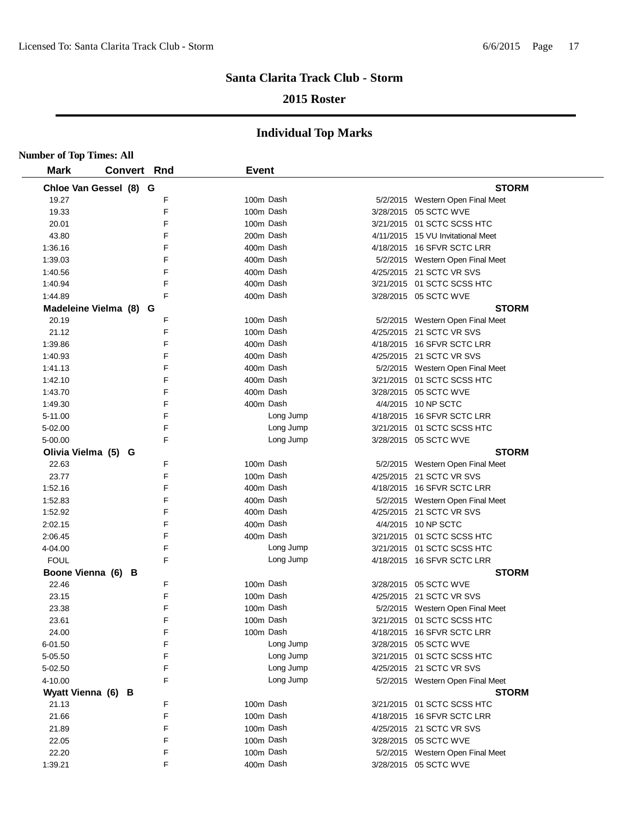## **2015 Roster**

| <b>Number of Top Times: All</b> |                        |   |              |           |                                   |
|---------------------------------|------------------------|---|--------------|-----------|-----------------------------------|
| <b>Mark</b>                     | <b>Convert Rnd</b>     |   | <b>Event</b> |           |                                   |
|                                 | Chloe Van Gessel (8) G |   |              |           | <b>STORM</b>                      |
| 19.27                           |                        | F | 100m Dash    |           | 5/2/2015 Western Open Final Meet  |
| 19.33                           |                        | F | 100m Dash    |           | 3/28/2015 05 SCTC WVE             |
| 20.01                           |                        | F | 100m Dash    |           | 3/21/2015 01 SCTC SCSS HTC        |
| 43.80                           |                        | F | 200m Dash    |           | 4/11/2015 15 VU Invitational Meet |
| 1:36.16                         |                        | F | 400m Dash    |           | 4/18/2015 16 SFVR SCTC LRR        |
| 1:39.03                         |                        | F | 400m Dash    |           | 5/2/2015 Western Open Final Meet  |
| 1:40.56                         |                        | F | 400m Dash    |           | 4/25/2015 21 SCTC VR SVS          |
| 1:40.94                         |                        | F | 400m Dash    |           | 3/21/2015 01 SCTC SCSS HTC        |
| 1:44.89                         |                        | F | 400m Dash    |           | 3/28/2015 05 SCTC WVE             |
|                                 | Madeleine Vielma (8) G |   |              |           | <b>STORM</b>                      |
| 20.19                           |                        | F | 100m Dash    |           | 5/2/2015 Western Open Final Meet  |
| 21.12                           |                        | F | 100m Dash    |           | 4/25/2015 21 SCTC VR SVS          |
| 1:39.86                         |                        | F | 400m Dash    |           | 4/18/2015 16 SFVR SCTC LRR        |
| 1:40.93                         |                        | F | 400m Dash    |           | 4/25/2015 21 SCTC VR SVS          |
| 1:41.13                         |                        | F | 400m Dash    |           | 5/2/2015 Western Open Final Meet  |
| 1:42.10                         |                        | F | 400m Dash    |           | 3/21/2015 01 SCTC SCSS HTC        |
| 1:43.70                         |                        | F | 400m Dash    |           | 3/28/2015 05 SCTC WVE             |
| 1:49.30                         |                        | F | 400m Dash    |           | 4/4/2015 10 NP SCTC               |
| 5-11.00                         |                        | E |              | Long Jump | 4/18/2015 16 SFVR SCTC LRR        |
| 5-02.00                         |                        | F |              | Long Jump | 3/21/2015  01 SCTC SCSS HTC       |
| 5-00.00                         |                        | F |              | Long Jump | 3/28/2015 05 SCTC WVE             |
|                                 | Olivia Vielma (5) G    |   |              |           | <b>STORM</b>                      |
| 22.63                           |                        | F | 100m Dash    |           | 5/2/2015 Western Open Final Meet  |
| 23.77                           |                        | F | 100m Dash    |           | 4/25/2015 21 SCTC VR SVS          |
| 1:52.16                         |                        | F | 400m Dash    |           | 4/18/2015 16 SFVR SCTC LRR        |
| 1:52.83                         |                        | F | 400m Dash    |           | 5/2/2015 Western Open Final Meet  |
| 1:52.92                         |                        | F | 400m Dash    |           | 4/25/2015 21 SCTC VR SVS          |
| 2:02.15                         |                        | F | 400m Dash    |           | 4/4/2015 10 NP SCTC               |
| 2:06.45                         |                        | F | 400m Dash    |           | 3/21/2015 01 SCTC SCSS HTC        |
| 4-04.00                         |                        | F |              | Long Jump | 3/21/2015  01 SCTC SCSS HTC       |
| <b>FOUL</b>                     |                        | F |              | Long Jump | 4/18/2015 16 SFVR SCTC LRR        |
|                                 | Boone Vienna (6) B     |   |              |           | <b>STORM</b>                      |
| 22.46                           |                        | F | 100m Dash    |           | 3/28/2015 05 SCTC WVE             |
| 23.15                           |                        | F | 100m Dash    |           | 4/25/2015 21 SCTC VR SVS          |
| 23.38                           |                        | F | 100m Dash    |           | 5/2/2015 Western Open Final Meet  |
| 23.61                           |                        | F | 100m Dash    |           | 3/21/2015 01 SCTC SCSS HTC        |
| 24.00                           |                        | F |              | 100m Dash | 4/18/2015 16 SFVR SCTC LRR        |
| 6-01.50                         |                        | F |              | Long Jump | 3/28/2015 05 SCTC WVE             |
| 5-05.50                         |                        | F |              | Long Jump | 3/21/2015 01 SCTC SCSS HTC        |
| 5-02.50                         |                        | F |              | Long Jump | 4/25/2015 21 SCTC VR SVS          |
| 4-10.00                         |                        | F |              | Long Jump | 5/2/2015 Western Open Final Meet  |
| Wyatt Vienna (6) B              |                        |   |              |           | <b>STORM</b>                      |
| 21.13                           |                        | F | 100m Dash    |           | 3/21/2015 01 SCTC SCSS HTC        |
| 21.66                           |                        | F | 100m Dash    |           | 4/18/2015 16 SFVR SCTC LRR        |
| 21.89                           |                        | F | 100m Dash    |           | 4/25/2015 21 SCTC VR SVS          |
| 22.05                           |                        | F | 100m Dash    |           | 3/28/2015 05 SCTC WVE             |
| 22.20                           |                        | F | 100m Dash    |           | 5/2/2015 Western Open Final Meet  |
| 1:39.21                         |                        | F | 400m Dash    |           | 3/28/2015 05 SCTC WVE             |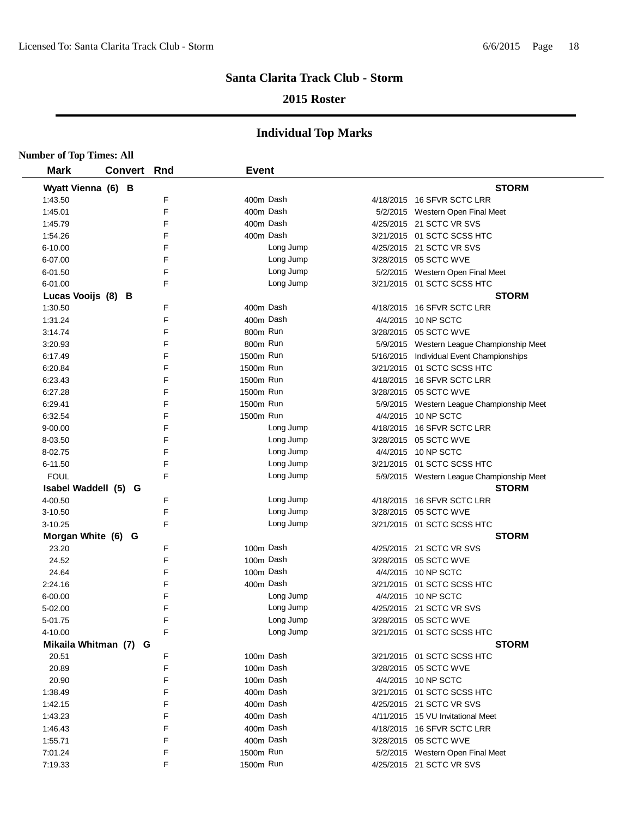## **2015 Roster**

| <b>Number of Top Times: All</b> |                    |        |              |                                                                  |
|---------------------------------|--------------------|--------|--------------|------------------------------------------------------------------|
| <b>Mark</b>                     | <b>Convert Rnd</b> |        | <b>Event</b> |                                                                  |
| Wyatt Vienna (6) B              |                    |        |              | <b>STORM</b>                                                     |
| 1:43.50                         |                    | F      | 400m Dash    | 4/18/2015 16 SFVR SCTC LRR                                       |
| 1:45.01                         |                    | E      | 400m Dash    | 5/2/2015 Western Open Final Meet                                 |
| 1:45.79                         |                    | F      | 400m Dash    | 4/25/2015 21 SCTC VR SVS                                         |
| 1:54.26                         |                    | F      | 400m Dash    | 3/21/2015 01 SCTC SCSS HTC                                       |
| 6-10.00                         |                    | F      | Long Jump    | 4/25/2015 21 SCTC VR SVS                                         |
| 6-07.00                         |                    | E      | Long Jump    | 3/28/2015 05 SCTC WVE                                            |
| 6-01.50                         |                    | F      | Long Jump    | 5/2/2015 Western Open Final Meet                                 |
| 6-01.00                         |                    | F      | Long Jump    | 3/21/2015 01 SCTC SCSS HTC                                       |
| Lucas Vooijs (8) B              |                    |        |              | <b>STORM</b>                                                     |
| 1:30.50                         |                    | F      | 400m Dash    | 4/18/2015 16 SFVR SCTC LRR                                       |
| 1:31.24                         |                    | F      | 400m Dash    | 4/4/2015 10 NP SCTC                                              |
| 3:14.74                         |                    | F      | 800m Run     | 3/28/2015 05 SCTC WVE                                            |
| 3:20.93                         |                    | F      | 800m Run     | 5/9/2015 Western League Championship Meet                        |
| 6:17.49                         |                    | F      | 1500m Run    | 5/16/2015 Individual Event Championships                         |
| 6:20.84                         |                    | F      | 1500m Run    | 3/21/2015 01 SCTC SCSS HTC                                       |
| 6:23.43                         |                    | F      | 1500m Run    | 4/18/2015 16 SFVR SCTC LRR                                       |
| 6:27.28                         |                    | F      | 1500m Run    | 3/28/2015 05 SCTC WVE                                            |
| 6:29.41                         |                    | F      | 1500m Run    |                                                                  |
| 6:32.54                         |                    | F      | 1500m Run    | 5/9/2015 Western League Championship Meet<br>4/4/2015 10 NP SCTC |
| $9 - 00.00$                     |                    | F      | Long Jump    | 4/18/2015 16 SFVR SCTC LRR                                       |
|                                 |                    | F      | Long Jump    | 3/28/2015 05 SCTC WVE                                            |
| 8-03.50                         |                    |        |              |                                                                  |
| 8-02.75                         |                    | F<br>E | Long Jump    | 4/4/2015 10 NP SCTC                                              |
| 6-11.50                         |                    |        | Long Jump    | 3/21/2015 01 SCTC SCSS HTC                                       |
| <b>FOUL</b>                     |                    | F      | Long Jump    | 5/9/2015 Western League Championship Meet                        |
| Isabel Waddell (5) G            |                    |        |              | <b>STORM</b>                                                     |
| 4-00.50                         |                    | F      | Long Jump    | 4/18/2015 16 SFVR SCTC LRR                                       |
| 3-10.50                         |                    | E      | Long Jump    | 3/28/2015 05 SCTC WVE                                            |
| 3-10.25                         |                    | F      | Long Jump    | 3/21/2015 01 SCTC SCSS HTC                                       |
| Morgan White (6) G              |                    |        |              | <b>STORM</b>                                                     |
| 23.20                           |                    | F      | 100m Dash    | 4/25/2015 21 SCTC VR SVS                                         |
| 24.52                           |                    | F      | 100m Dash    | 3/28/2015 05 SCTC WVE                                            |
| 24.64                           |                    | F      | 100m Dash    | 4/4/2015 10 NP SCTC                                              |
| 2:24.16                         |                    | F      | 400m Dash    | 3/21/2015 01 SCTC SCSS HTC                                       |
| 6-00.00                         |                    | F      | Long Jump    | 4/4/2015 10 NP SCTC                                              |
| 5-02.00                         |                    | E      | Long Jump    | 4/25/2015 21 SCTC VR SVS                                         |
| 5-01.75                         |                    | F      | Long Jump    | 3/28/2015 05 SCTC WVE                                            |
| 4-10.00                         |                    | F      | Long Jump    | 3/21/2015 01 SCTC SCSS HTC                                       |
| Mikaila Whitman (7) G           |                    |        |              | <b>STORM</b>                                                     |
| 20.51                           |                    | F      | 100m Dash    | 3/21/2015 01 SCTC SCSS HTC                                       |
| 20.89                           |                    | F      | 100m Dash    | 3/28/2015 05 SCTC WVE                                            |
| 20.90                           |                    | F      | 100m Dash    | 4/4/2015 10 NP SCTC                                              |
| 1:38.49                         |                    | F      | 400m Dash    | 3/21/2015 01 SCTC SCSS HTC                                       |
| 1:42.15                         |                    | F      | 400m Dash    | 4/25/2015 21 SCTC VR SVS                                         |
| 1:43.23                         |                    | F      | 400m Dash    | 4/11/2015 15 VU Invitational Meet                                |
| 1:46.43                         |                    | F      | 400m Dash    | 4/18/2015 16 SFVR SCTC LRR                                       |
| 1:55.71                         |                    | F      | 400m Dash    | 3/28/2015 05 SCTC WVE                                            |
| 7:01.24                         |                    | F      | 1500m Run    | 5/2/2015 Western Open Final Meet                                 |
| 7:19.33                         |                    | F      | 1500m Run    | 4/25/2015 21 SCTC VR SVS                                         |